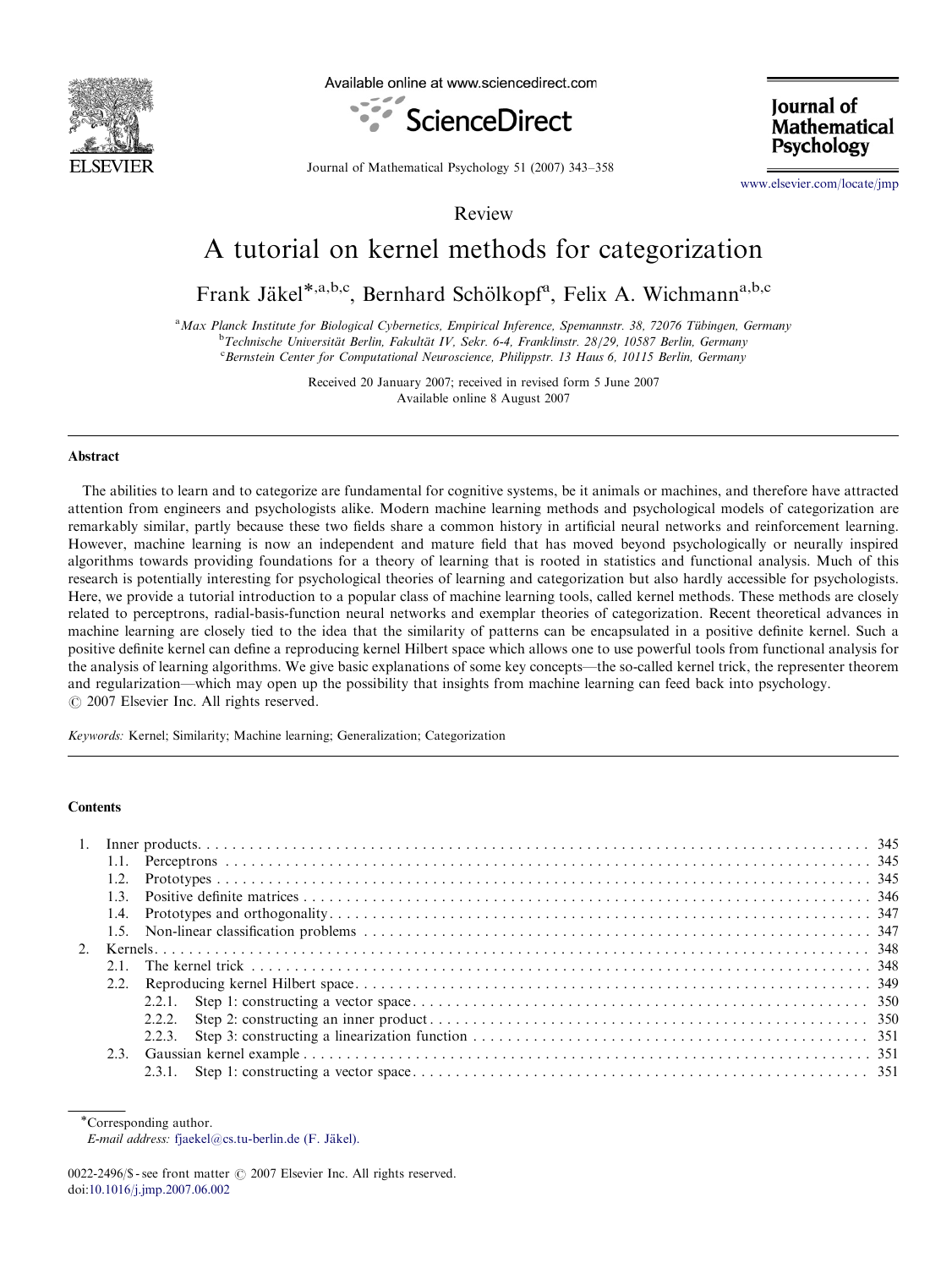

Available online at www.sciencedirect.com



**Iournal of Mathematical Psychology** 

Journal of Mathematical Psychology 51 (2007) 343–358

<www.elsevier.com/locate/jmp>

# A tutorial on kernel methods for categorization

Review

Frank Jäkel\*,a,b,c, Bernhard Schölkopf<sup>a</sup>, Felix A. Wichmann<sup>a,b,c</sup>

a Max Planck Institute for Biological Cybernetics, Empirical Inference, Spemannstr. 38, 72076 Tübingen, Germany<br>Prechnische Universität Berlin, Eckultät IV, Sekr. 6.4, Franklinstr. 28/20, 10587 Berlin, Germany <sup>b</sup>Technische Universität Berlin, Fakultät IV, Sekr. 6-4, Franklinstr. 28/29, 10587 Berlin, Germany <sup>c</sup> Bernstein Center for Computational Neuroscience, Philippstr. 13 Haus 6, 10115 Berlin, Germany

> Received 20 January 2007; received in revised form 5 June 2007 Available online 8 August 2007

## Abstract

The abilities to learn and to categorize are fundamental for cognitive systems, be it animals or machines, and therefore have attracted attention from engineers and psychologists alike. Modern machine learning methods and psychological models of categorization are remarkably similar, partly because these two fields share a common history in artificial neural networks and reinforcement learning. However, machine learning is now an independent and mature field that has moved beyond psychologically or neurally inspired algorithms towards providing foundations for a theory of learning that is rooted in statistics and functional analysis. Much of this research is potentially interesting for psychological theories of learning and categorization but also hardly accessible for psychologists. Here, we provide a tutorial introduction to a popular class of machine learning tools, called kernel methods. These methods are closely related to perceptrons, radial-basis-function neural networks and exemplar theories of categorization. Recent theoretical advances in machine learning are closely tied to the idea that the similarity of patterns can be encapsulated in a positive definite kernel. Such a positive definite kernel can define a reproducing kernel Hilbert space which allows one to use powerful tools from functional analysis for the analysis of learning algorithms. We give basic explanations of some key concepts—the so-called kernel trick, the representer theorem and regularization—which may open up the possibility that insights from machine learning can feed back into psychology.  $\odot$  2007 Elsevier Inc. All rights reserved.

Keywords: Kernel; Similarity; Machine learning; Generalization; Categorization

## **Contents**

\*Corresponding author. E-mail address: fjaekel@cs.tu-berlin.de (F. Jäkel).

<sup>0022-2496/\$ -</sup> see front matter  $\odot$  2007 Elsevier Inc. All rights reserved. doi:[10.1016/j.jmp.2007.06.002](dx.doi.org/10.1016/j.jmp.2007.06.002)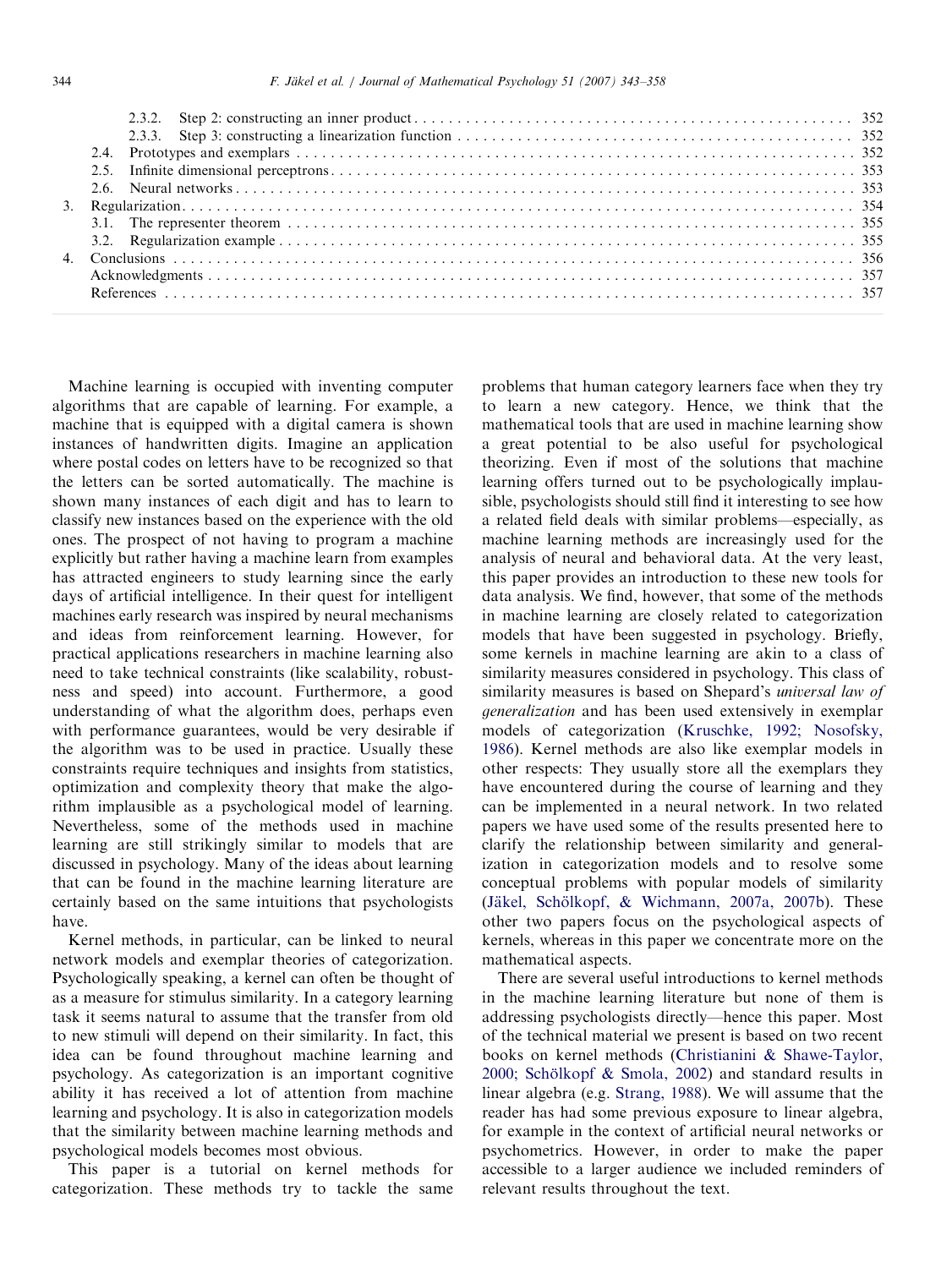Machine learning is occupied with inventing computer algorithms that are capable of learning. For example, a machine that is equipped with a digital camera is shown instances of handwritten digits. Imagine an application where postal codes on letters have to be recognized so that the letters can be sorted automatically. The machine is shown many instances of each digit and has to learn to classify new instances based on the experience with the old ones. The prospect of not having to program a machine explicitly but rather having a machine learn from examples has attracted engineers to study learning since the early days of artificial intelligence. In their quest for intelligent machines early research was inspired by neural mechanisms and ideas from reinforcement learning. However, for practical applications researchers in machine learning also need to take technical constraints (like scalability, robustness and speed) into account. Furthermore, a good understanding of what the algorithm does, perhaps even with performance guarantees, would be very desirable if the algorithm was to be used in practice. Usually these constraints require techniques and insights from statistics, optimization and complexity theory that make the algorithm implausible as a psychological model of learning. Nevertheless, some of the methods used in machine learning are still strikingly similar to models that are discussed in psychology. Many of the ideas about learning that can be found in the machine learning literature are certainly based on the same intuitions that psychologists have.

Kernel methods, in particular, can be linked to neural network models and exemplar theories of categorization. Psychologically speaking, a kernel can often be thought of as a measure for stimulus similarity. In a category learning task it seems natural to assume that the transfer from old to new stimuli will depend on their similarity. In fact, this idea can be found throughout machine learning and psychology. As categorization is an important cognitive ability it has received a lot of attention from machine learning and psychology. It is also in categorization models that the similarity between machine learning methods and psychological models becomes most obvious.

This paper is a tutorial on kernel methods for categorization. These methods try to tackle the same problems that human category learners face when they try to learn a new category. Hence, we think that the mathematical tools that are used in machine learning show a great potential to be also useful for psychological theorizing. Even if most of the solutions that machine learning offers turned out to be psychologically implausible, psychologists should still find it interesting to see how a related field deals with similar problems—especially, as machine learning methods are increasingly used for the analysis of neural and behavioral data. At the very least, this paper provides an introduction to these new tools for data analysis. We find, however, that some of the methods in machine learning are closely related to categorization models that have been suggested in psychology. Briefly, some kernels in machine learning are akin to a class of similarity measures considered in psychology. This class of similarity measures is based on Shepard's *universal law of* generalization and has been used extensively in exemplar models of categorization [\(Kruschke, 1992; Nosofsky,](#page-14-0) [1986\)](#page-14-0). Kernel methods are also like exemplar models in other respects: They usually store all the exemplars they have encountered during the course of learning and they can be implemented in a neural network. In two related papers we have used some of the results presented here to clarify the relationship between similarity and generalization in categorization models and to resolve some conceptual problems with popular models of similarity (Jäkel, Schölkopf, & Wichmann, 2007a, 2007b). These other two papers focus on the psychological aspects of kernels, whereas in this paper we concentrate more on the mathematical aspects.

There are several useful introductions to kernel methods in the machine learning literature but none of them is addressing psychologists directly—hence this paper. Most of the technical material we present is based on two recent books on kernel methods [\(Christianini](#page-14-0) & [Shawe-Taylor,](#page-14-0) 2000; Schölkopf & Smola, 2002) and standard results in linear algebra (e.g. [Strang, 1988](#page-15-0)). We will assume that the reader has had some previous exposure to linear algebra, for example in the context of artificial neural networks or psychometrics. However, in order to make the paper accessible to a larger audience we included reminders of relevant results throughout the text.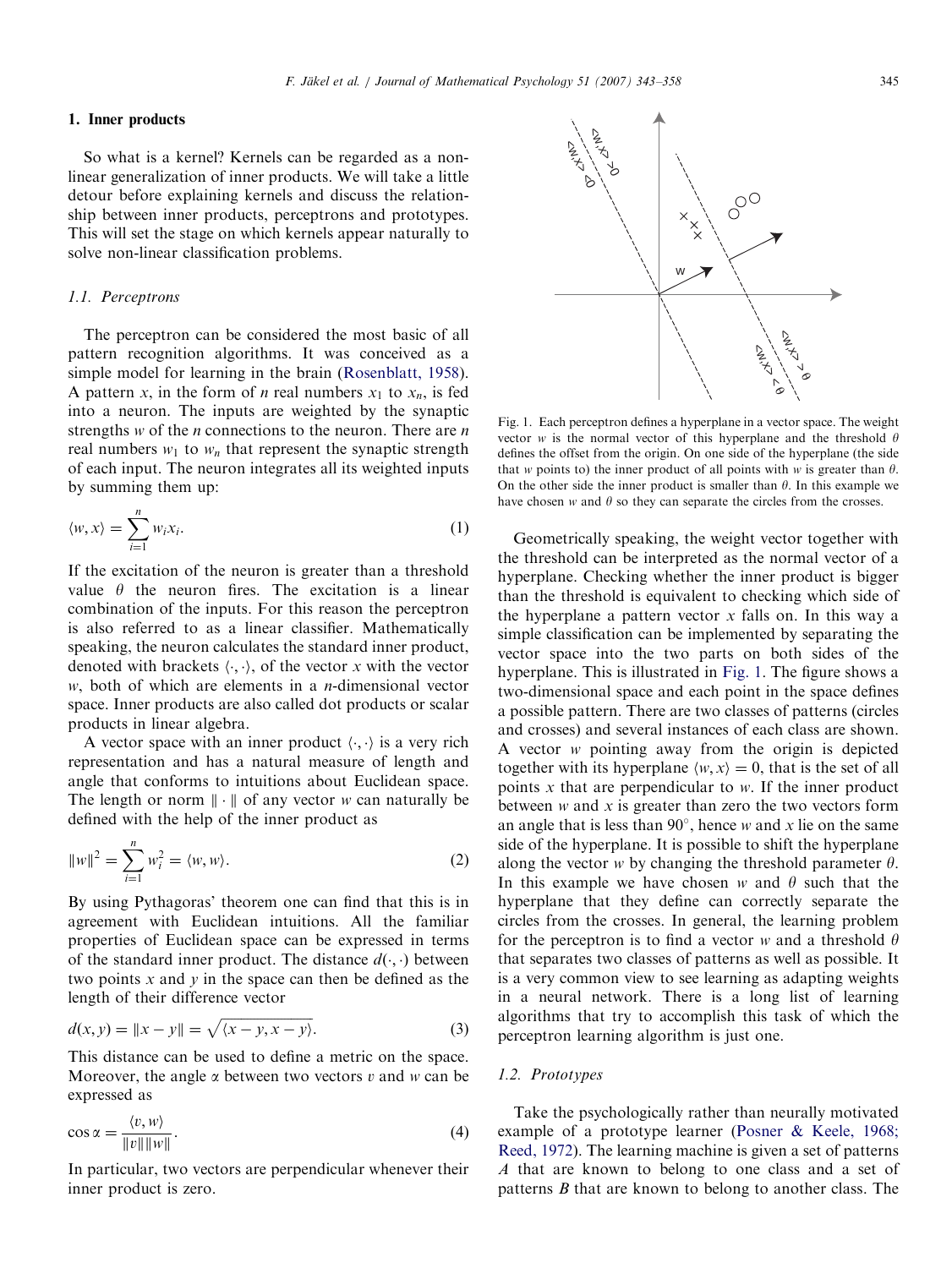#### 1. Inner products

So what is a kernel? Kernels can be regarded as a nonlinear generalization of inner products. We will take a little detour before explaining kernels and discuss the relationship between inner products, perceptrons and prototypes. This will set the stage on which kernels appear naturally to solve non-linear classification problems.

## 1.1. Perceptrons

The perceptron can be considered the most basic of all pattern recognition algorithms. It was conceived as a simple model for learning in the brain ([Rosenblatt, 1958\)](#page-15-0). A pattern x, in the form of *n* real numbers  $x_1$  to  $x_n$ , is fed into a neuron. The inputs are weighted by the synaptic strengths  $w$  of the *n* connections to the neuron. There are  $n$ real numbers  $w_1$  to  $w_n$  that represent the synaptic strength of each input. The neuron integrates all its weighted inputs by summing them up:

$$
\langle w, x \rangle = \sum_{i=1}^{n} w_i x_i. \tag{1}
$$

If the excitation of the neuron is greater than a threshold value  $\theta$  the neuron fires. The excitation is a linear combination of the inputs. For this reason the perceptron is also referred to as a linear classifier. Mathematically speaking, the neuron calculates the standard inner product, denoted with brackets  $\langle \cdot, \cdot \rangle$ , of the vector x with the vector w, both of which are elements in a *n*-dimensional vector space. Inner products are also called dot products or scalar products in linear algebra.

A vector space with an inner product  $\langle \cdot, \cdot \rangle$  is a very rich representation and has a natural measure of length and angle that conforms to intuitions about Euclidean space. The length or norm  $\|\cdot\|$  of any vector w can naturally be defined with the help of the inner product as

$$
||w||^2 = \sum_{i=1}^n w_i^2 = \langle w, w \rangle.
$$
 (2)

By using Pythagoras' theorem one can find that this is in agreement with Euclidean intuitions. All the familiar properties of Euclidean space can be expressed in terms of the standard inner product. The distance  $d(\cdot, \cdot)$  between two points  $x$  and  $y$  in the space can then be defined as the length of their difference vector

$$
d(x, y) = \|x - y\| = \sqrt{\langle x - y, x - y \rangle}.
$$
 (3)

This distance can be used to define a metric on the space. Moreover, the angle  $\alpha$  between two vectors  $v$  and  $w$  can be expressed as

$$
\cos \alpha = \frac{\langle v, w \rangle}{\|v\| \|w\|}.
$$
 (4)

In particular, two vectors are perpendicular whenever their inner product is zero.

Fig. 1. Each perceptron defines a hyperplane in a vector space. The weight vector w is the normal vector of this hyperplane and the threshold  $\theta$ defines the offset from the origin. On one side of the hyperplane (the side that w points to) the inner product of all points with w is greater than  $\theta$ . On the other side the inner product is smaller than  $\theta$ . In this example we have chosen w and  $\theta$  so they can separate the circles from the crosses.

Geometrically speaking, the weight vector together with the threshold can be interpreted as the normal vector of a hyperplane. Checking whether the inner product is bigger than the threshold is equivalent to checking which side of the hyperplane a pattern vector  $x$  falls on. In this way a simple classification can be implemented by separating the vector space into the two parts on both sides of the hyperplane. This is illustrated in Fig. 1. The figure shows a two-dimensional space and each point in the space defines a possible pattern. There are two classes of patterns (circles and crosses) and several instances of each class are shown. A vector w pointing away from the origin is depicted together with its hyperplane  $\langle w, x \rangle = 0$ , that is the set of all points x that are perpendicular to w. If the inner product between  $w$  and  $x$  is greater than zero the two vectors form an angle that is less than  $90^\circ$ , hence w and x lie on the same side of the hyperplane. It is possible to shift the hyperplane along the vector w by changing the threshold parameter  $\theta$ . In this example we have chosen w and  $\theta$  such that the hyperplane that they define can correctly separate the circles from the crosses. In general, the learning problem for the perceptron is to find a vector w and a threshold  $\theta$ that separates two classes of patterns as well as possible. It is a very common view to see learning as adapting weights in a neural network. There is a long list of learning algorithms that try to accomplish this task of which the perceptron learning algorithm is just one.

#### 1.2. Prototypes

Take the psychologically rather than neurally motivated example of a prototype learner [\(Posner](#page-15-0) & [Keele, 1968;](#page-15-0) [Reed, 1972\)](#page-15-0). The learning machine is given a set of patterns A that are known to belong to one class and a set of patterns B that are known to belong to another class. The

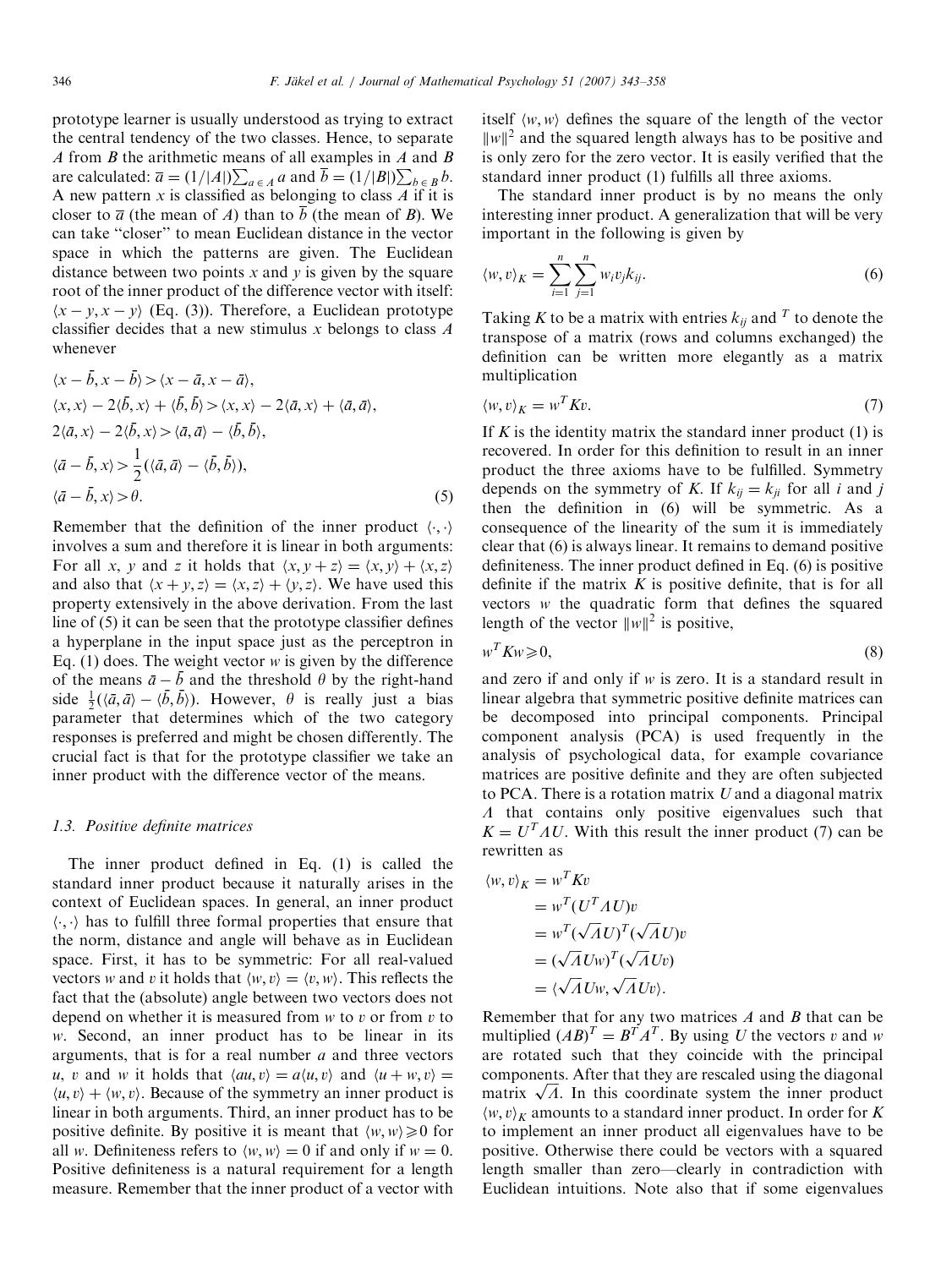prototype learner is usually understood as trying to extract the central tendency of the two classes. Hence, to separate A from  $B$  the arithmetic means of all examples in  $A$  and  $B$ are calculated:  $\overline{a} = (1/(A))\sum_{a \in A} a$  and  $\overline{b} = (1/(B))\sum_{b \in B} b$ . A new pattern  $x$  is classified as belonging to class  $A$  if it is closer to  $\overline{a}$  (the mean of A) than to  $\overline{b}$  (the mean of B). We can take ''closer'' to mean Euclidean distance in the vector space in which the patterns are given. The Euclidean distance between two points  $x$  and  $y$  is given by the square root of the inner product of the difference vector with itself:  $\langle x - y, x - y \rangle$  (Eq. (3)). Therefore, a Euclidean prototype classifier decides that a new stimulus x belongs to class  $A$ whenever

$$
\langle x - \bar{b}, x - \bar{b} \rangle > \langle x - \bar{a}, x - \bar{a} \rangle,
$$
  
\n
$$
\langle x, x \rangle - 2\langle \bar{b}, x \rangle + \langle \bar{b}, \bar{b} \rangle > \langle x, x \rangle - 2\langle \bar{a}, x \rangle + \langle \bar{a}, \bar{a} \rangle,
$$
  
\n
$$
2\langle \bar{a}, x \rangle - 2\langle \bar{b}, x \rangle > \langle \bar{a}, \bar{a} \rangle - \langle \bar{b}, \bar{b} \rangle,
$$
  
\n
$$
\langle \bar{a} - \bar{b}, x \rangle > \frac{1}{2} (\langle \bar{a}, \bar{a} \rangle - \langle \bar{b}, \bar{b} \rangle),
$$
  
\n
$$
\langle \bar{a} - \bar{b}, x \rangle > \theta.
$$
 (5)

Remember that the definition of the inner product  $\langle \cdot, \cdot \rangle$ involves a sum and therefore it is linear in both arguments: For all x, y and z it holds that  $\langle x, y + z \rangle = \langle x, y \rangle + \langle x, z \rangle$ and also that  $\langle x + y, z \rangle = \langle x, z \rangle + \langle y, z \rangle$ . We have used this property extensively in the above derivation. From the last line of (5) it can be seen that the prototype classifier defines a hyperplane in the input space just as the perceptron in Eq. (1) does. The weight vector  $w$  is given by the difference of the means  $\bar{a} - \bar{b}$  and the threshold  $\theta$  by the right-hand side  $\frac{1}{2}(\langle \bar{a}, \bar{a} \rangle - \langle \bar{b}, \bar{b} \rangle)$ . However,  $\theta$  is really just a bias parameter that determines which of the two category responses is preferred and might be chosen differently. The crucial fact is that for the prototype classifier we take an inner product with the difference vector of the means.

## 1.3. Positive definite matrices

The inner product defined in Eq. (1) is called the standard inner product because it naturally arises in the context of Euclidean spaces. In general, an inner product  $\langle \cdot, \cdot \rangle$  has to fulfill three formal properties that ensure that the norm, distance and angle will behave as in Euclidean space. First, it has to be symmetric: For all real-valued vectors w and v it holds that  $\langle w, v \rangle = \langle v, w \rangle$ . This reflects the fact that the (absolute) angle between two vectors does not depend on whether it is measured from  $w$  to  $v$  or from  $v$  to w. Second, an inner product has to be linear in its arguments, that is for a real number a and three vectors u, v and w it holds that  $\langle au, v \rangle = a \langle u, v \rangle$  and  $\langle u + w, v \rangle =$  $\langle u, v \rangle + \langle w, v \rangle$ . Because of the symmetry an inner product is linear in both arguments. Third, an inner product has to be positive definite. By positive it is meant that  $\langle w, w \rangle \ge 0$  for all w. Definiteness refers to  $\langle w, w \rangle = 0$  if and only if  $w = 0$ . Positive definiteness is a natural requirement for a length measure. Remember that the inner product of a vector with

itself  $\langle w, w \rangle$  defines the square of the length of the vector  $\|w\|^2$  and the squared length always has to be positive and is only zero for the zero vector. It is easily verified that the standard inner product (1) fulfills all three axioms.

The standard inner product is by no means the only interesting inner product. A generalization that will be very important in the following is given by

$$
\langle w, v \rangle_K = \sum_{i=1}^n \sum_{j=1}^n w_i v_j k_{ij}.
$$
 (6)

Taking K to be a matrix with entries  $k_{ij}$  and T to denote the transpose of a matrix (rows and columns exchanged) the definition can be written more elegantly as a matrix multiplication

$$
\langle w, v \rangle_K = w^T K v. \tag{7}
$$

If  $K$  is the identity matrix the standard inner product (1) is recovered. In order for this definition to result in an inner product the three axioms have to be fulfilled. Symmetry depends on the symmetry of K. If  $k_{ii} = k_{ii}$  for all i and j then the definition in (6) will be symmetric. As a consequence of the linearity of the sum it is immediately clear that (6) is always linear. It remains to demand positive definiteness. The inner product defined in Eq. (6) is positive definite if the matrix  $K$  is positive definite, that is for all vectors w the quadratic form that defines the squared length of the vector  $||w||^2$  is positive,

$$
w^T K w \geqslant 0,\tag{8}
$$

and zero if and only if w is zero. It is a standard result in linear algebra that symmetric positive definite matrices can be decomposed into principal components. Principal component analysis (PCA) is used frequently in the analysis of psychological data, for example covariance matrices are positive definite and they are often subjected to PCA. There is a rotation matrix  $U$  and a diagonal matrix  $\Lambda$  that contains only positive eigenvalues such that  $K = U<sup>T</sup> A U$ . With this result the inner product (7) can be rewritten as

$$
\langle w, v \rangle_K = w^T K v
$$
  
=  $w^T (U^T A U) v$   
=  $w^T (\sqrt{A} U)^T (\sqrt{A} U) v$   
=  $(\sqrt{A} U w)^T (\sqrt{A} U v)$   
=  $(\sqrt{A} U w, \sqrt{A} U v).$ 

Remember that for any two matrices  $A$  and  $B$  that can be multiplied  $(AB)^T = B^T A^T$ . By using U the vectors v and w are rotated such that they coincide with the principal components. After that they are rescaled using the diagonal components. After that they are rescaled using the diagonal matrix  $\sqrt{\Lambda}$ . In this coordinate system the inner product  $\langle w, v \rangle_K$  amounts to a standard inner product. In order for K to implement an inner product all eigenvalues have to be positive. Otherwise there could be vectors with a squared length smaller than zero—clearly in contradiction with Euclidean intuitions. Note also that if some eigenvalues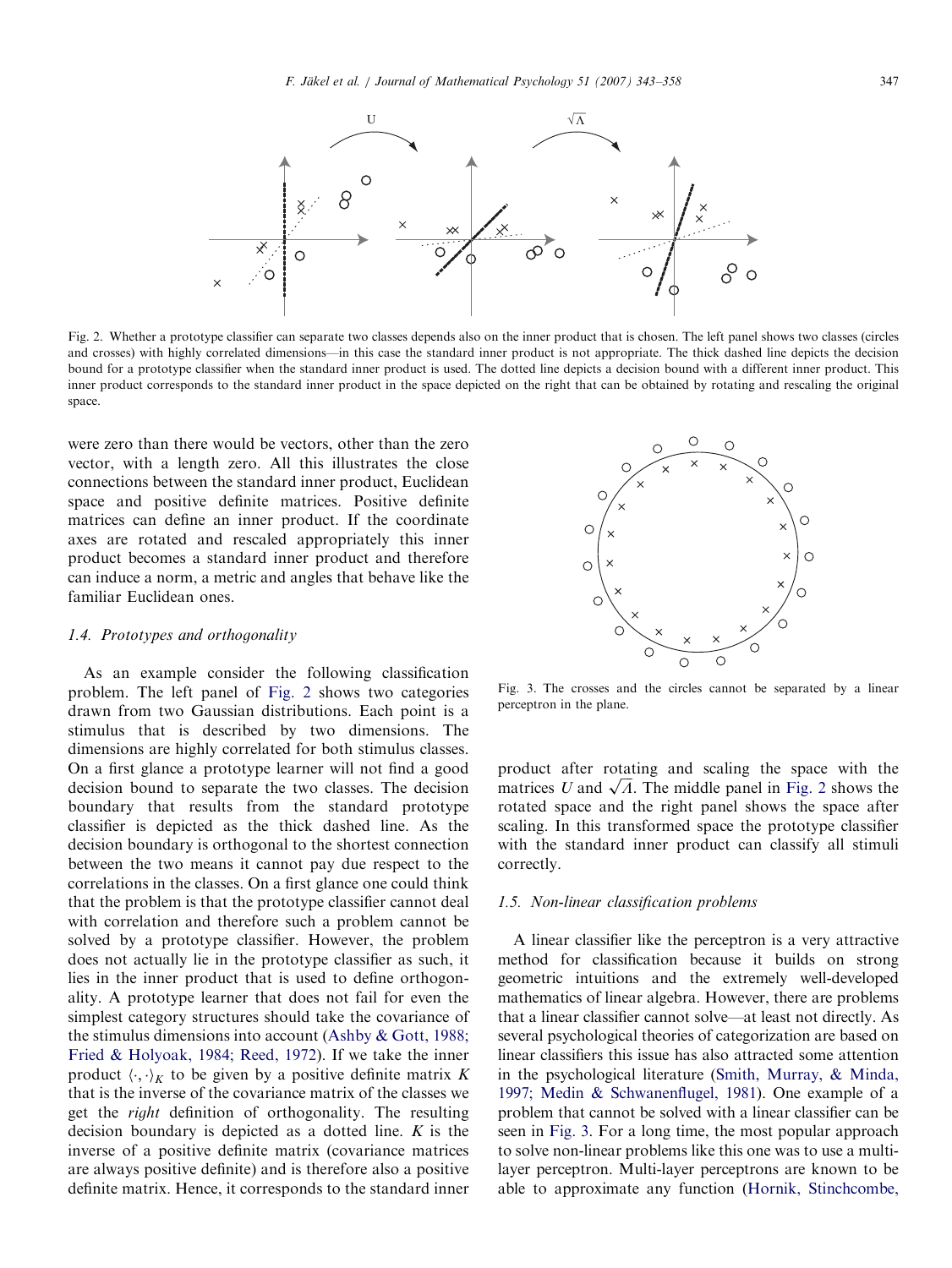<span id="page-4-0"></span>

Fig. 2. Whether a prototype classifier can separate two classes depends also on the inner product that is chosen. The left panel shows two classes (circles and crosses) with highly correlated dimensions—in this case the standard inner product is not appropriate. The thick dashed line depicts the decision bound for a prototype classifier when the standard inner product is used. The dotted line depicts a decision bound with a different inner product. This inner product corresponds to the standard inner product in the space depicted on the right that can be obtained by rotating and rescaling the original space.

were zero than there would be vectors, other than the zero vector, with a length zero. All this illustrates the close connections between the standard inner product, Euclidean space and positive definite matrices. Positive definite matrices can define an inner product. If the coordinate axes are rotated and rescaled appropriately this inner product becomes a standard inner product and therefore can induce a norm, a metric and angles that behave like the familiar Euclidean ones.

## 1.4. Prototypes and orthogonality

As an example consider the following classification problem. The left panel of Fig. 2 shows two categories drawn from two Gaussian distributions. Each point is a stimulus that is described by two dimensions. The dimensions are highly correlated for both stimulus classes. On a first glance a prototype learner will not find a good decision bound to separate the two classes. The decision boundary that results from the standard prototype classifier is depicted as the thick dashed line. As the decision boundary is orthogonal to the shortest connection between the two means it cannot pay due respect to the correlations in the classes. On a first glance one could think that the problem is that the prototype classifier cannot deal with correlation and therefore such a problem cannot be solved by a prototype classifier. However, the problem does not actually lie in the prototype classifier as such, it lies in the inner product that is used to define orthogonality. A prototype learner that does not fail for even the simplest category structures should take the covariance of the stimulus dimensions into account [\(Ashby](#page-14-0) & [Gott, 1988;](#page-14-0) [Fried](#page-14-0) & [Holyoak, 1984; Reed, 1972](#page-14-0)). If we take the inner product  $\langle \cdot, \cdot \rangle_K$  to be given by a positive definite matrix K that is the inverse of the covariance matrix of the classes we get the right definition of orthogonality. The resulting decision boundary is depicted as a dotted line.  $K$  is the inverse of a positive definite matrix (covariance matrices are always positive definite) and is therefore also a positive definite matrix. Hence, it corresponds to the standard inner



Fig. 3. The crosses and the circles cannot be separated by a linear perceptron in the plane.

product after rotating and scaling the space with the product after rotating and scaling the space with the matrices U and  $\sqrt{A}$ . The middle panel in Fig. 2 shows the rotated space and the right panel shows the space after scaling. In this transformed space the prototype classifier with the standard inner product can classify all stimuli correctly.

#### 1.5. Non-linear classification problems

A linear classifier like the perceptron is a very attractive method for classification because it builds on strong geometric intuitions and the extremely well-developed mathematics of linear algebra. However, there are problems that a linear classifier cannot solve—at least not directly. As several psychological theories of categorization are based on linear classifiers this issue has also attracted some attention in the psychological literature [\(Smith, Murray, & Minda,](#page-15-0) [1997; Medin](#page-15-0) & [Schwanenflugel, 1981\)](#page-15-0). One example of a problem that cannot be solved with a linear classifier can be seen in Fig. 3. For a long time, the most popular approach to solve non-linear problems like this one was to use a multilayer perceptron. Multi-layer perceptrons are known to be able to approximate any function ([Hornik, Stinchcombe,](#page-14-0)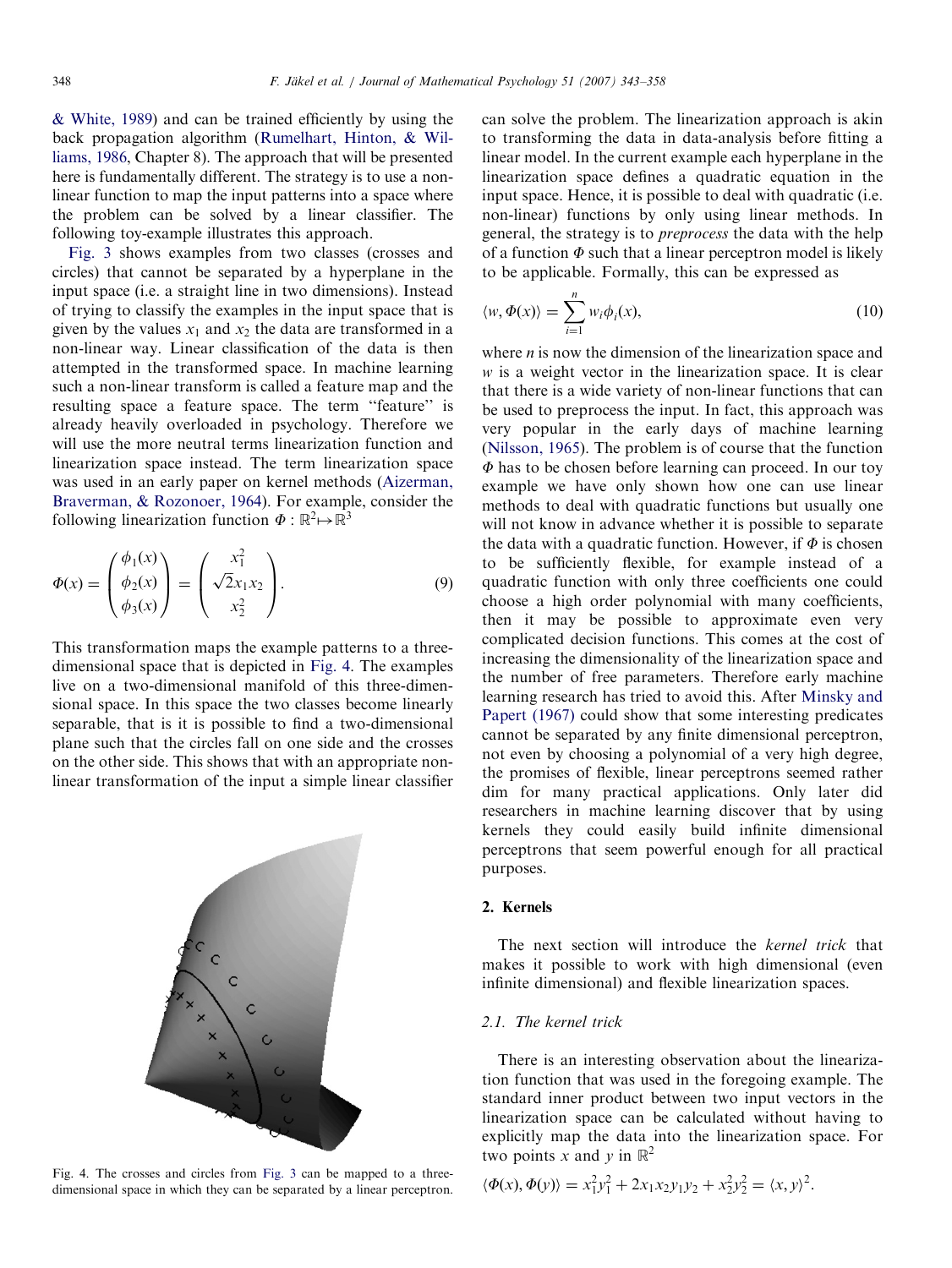[& White, 1989](#page-14-0)) and can be trained efficiently by using the back propagation algorithm ([Rumelhart, Hinton, & Wil](#page-15-0)[liams, 1986](#page-15-0), Chapter 8). The approach that will be presented here is fundamentally different. The strategy is to use a nonlinear function to map the input patterns into a space where the problem can be solved by a linear classifier. The following toy-example illustrates this approach.

[Fig. 3](#page-4-0) shows examples from two classes (crosses and circles) that cannot be separated by a hyperplane in the input space (i.e. a straight line in two dimensions). Instead of trying to classify the examples in the input space that is given by the values  $x_1$  and  $x_2$  the data are transformed in a non-linear way. Linear classification of the data is then attempted in the transformed space. In machine learning such a non-linear transform is called a feature map and the resulting space a feature space. The term ''feature'' is already heavily overloaded in psychology. Therefore we will use the more neutral terms linearization function and linearization space instead. The term linearization space was used in an early paper on kernel methods [\(Aizerman,](#page-14-0) [Braverman, & Rozonoer, 1964\)](#page-14-0). For example, consider the following linearization function  $\Phi : \mathbb{R}^2 \mapsto \mathbb{R}^3$ 

$$
\Phi(x) = \begin{pmatrix} \phi_1(x) \\ \phi_2(x) \\ \phi_3(x) \end{pmatrix} = \begin{pmatrix} x_1^2 \\ \sqrt{2}x_1x_2 \\ x_2^2 \end{pmatrix}.
$$
 (9)

This transformation maps the example patterns to a threedimensional space that is depicted in Fig. 4. The examples live on a two-dimensional manifold of this three-dimensional space. In this space the two classes become linearly separable, that is it is possible to find a two-dimensional plane such that the circles fall on one side and the crosses on the other side. This shows that with an appropriate nonlinear transformation of the input a simple linear classifier



Fig. 4. The crosses and circles from [Fig. 3](#page-4-0) can be mapped to a threedimensional space in which they can be separated by a linear perceptron.

can solve the problem. The linearization approach is akin to transforming the data in data-analysis before fitting a linear model. In the current example each hyperplane in the linearization space defines a quadratic equation in the input space. Hence, it is possible to deal with quadratic (i.e. non-linear) functions by only using linear methods. In general, the strategy is to preprocess the data with the help of a function  $\Phi$  such that a linear perceptron model is likely to be applicable. Formally, this can be expressed as

$$
\langle w, \Phi(x) \rangle = \sum_{i=1}^{n} w_i \phi_i(x), \tag{10}
$$

where  $n$  is now the dimension of the linearization space and w is a weight vector in the linearization space. It is clear that there is a wide variety of non-linear functions that can be used to preprocess the input. In fact, this approach was very popular in the early days of machine learning [\(Nilsson, 1965\)](#page-14-0). The problem is of course that the function  $\Phi$  has to be chosen before learning can proceed. In our toy example we have only shown how one can use linear methods to deal with quadratic functions but usually one will not know in advance whether it is possible to separate the data with a quadratic function. However, if  $\Phi$  is chosen to be sufficiently flexible, for example instead of a quadratic function with only three coefficients one could choose a high order polynomial with many coefficients, then it may be possible to approximate even very complicated decision functions. This comes at the cost of increasing the dimensionality of the linearization space and the number of free parameters. Therefore early machine learning research has tried to avoid this. After [Minsky and](#page-14-0) [Papert \(1967\)](#page-14-0) could show that some interesting predicates cannot be separated by any finite dimensional perceptron, not even by choosing a polynomial of a very high degree, the promises of flexible, linear perceptrons seemed rather dim for many practical applications. Only later did researchers in machine learning discover that by using kernels they could easily build infinite dimensional perceptrons that seem powerful enough for all practical purposes.

# 2. Kernels

The next section will introduce the kernel trick that makes it possible to work with high dimensional (even infinite dimensional) and flexible linearization spaces.

## 2.1. The kernel trick

There is an interesting observation about the linearization function that was used in the foregoing example. The standard inner product between two input vectors in the linearization space can be calculated without having to explicitly map the data into the linearization space. For two points x and y in  $\mathbb{R}^2$ 

$$
\langle \Phi(x), \Phi(y) \rangle = x_1^2 y_1^2 + 2x_1 x_2 y_1 y_2 + x_2^2 y_2^2 = \langle x, y \rangle^2.
$$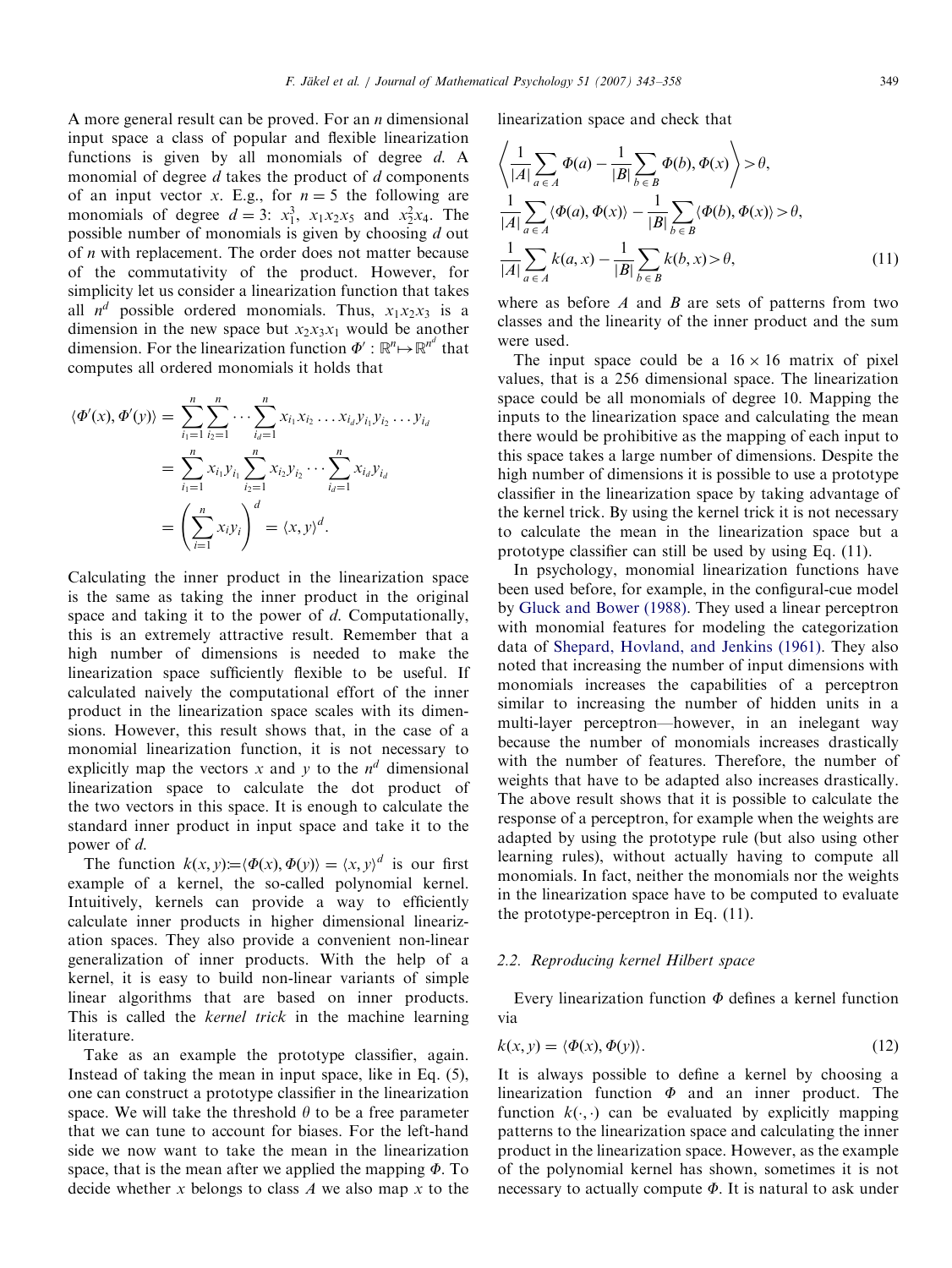A more general result can be proved. For an  $n$  dimensional input space a class of popular and flexible linearization functions is given by all monomials of degree d. A monomial of degree  $d$  takes the product of  $d$  components of an input vector x. E.g., for  $n = 5$  the following are monomials of degree  $d = 3$ :  $x_1^3$ ,  $x_1x_2x_5$  and  $x_2^2x_4$ . The possible number of monomials is given by choosing d out of n with replacement. The order does not matter because of the commutativity of the product. However, for simplicity let us consider a linearization function that takes all  $n^d$  possible ordered monomials. Thus,  $x_1x_2x_3$  is a dimension in the new space but  $x_2x_3x_1$  would be another dimension. For the linearization function  $\Phi' : \mathbb{R}^n \mapsto \mathbb{R}^{n^d}$  that computes all ordered monomials it holds that

$$
\langle \Phi'(x), \Phi'(y) \rangle = \sum_{i_1=1}^n \sum_{i_2=1}^n \cdots \sum_{i_d=1}^n x_{i_1} x_{i_2} \dots x_{i_d} y_{i_1} y_{i_2} \dots y_{i_d}
$$
  
= 
$$
\sum_{i_1=1}^n x_{i_1} y_{i_1} \sum_{i_2=1}^n x_{i_2} y_{i_2} \dots \sum_{i_d=1}^n x_{i_d} y_{i_d}
$$
  
= 
$$
\left(\sum_{i=1}^n x_{i} y_i\right)^d = \langle x, y \rangle^d.
$$

Calculating the inner product in the linearization space is the same as taking the inner product in the original space and taking it to the power of d. Computationally, this is an extremely attractive result. Remember that a high number of dimensions is needed to make the linearization space sufficiently flexible to be useful. If calculated naively the computational effort of the inner product in the linearization space scales with its dimensions. However, this result shows that, in the case of a monomial linearization function, it is not necessary to explicitly map the vectors x and y to the  $n<sup>d</sup>$  dimensional linearization space to calculate the dot product of the two vectors in this space. It is enough to calculate the standard inner product in input space and take it to the power of d.

The function  $k(x, y) = \langle \Phi(x), \Phi(y) \rangle = \langle x, y \rangle^d$  is our first example of a kernel, the so-called polynomial kernel. Intuitively, kernels can provide a way to efficiently calculate inner products in higher dimensional linearization spaces. They also provide a convenient non-linear generalization of inner products. With the help of a kernel, it is easy to build non-linear variants of simple linear algorithms that are based on inner products. This is called the *kernel trick* in the machine learning literature.

Take as an example the prototype classifier, again. Instead of taking the mean in input space, like in Eq. (5), one can construct a prototype classifier in the linearization space. We will take the threshold  $\theta$  to be a free parameter that we can tune to account for biases. For the left-hand side we now want to take the mean in the linearization space, that is the mean after we applied the mapping  $\Phi$ . To decide whether x belongs to class A we also map x to the linearization space and check that

$$
\left\langle \frac{1}{|A|} \sum_{a \in A} \Phi(a) - \frac{1}{|B|} \sum_{b \in B} \Phi(b), \Phi(x) \right\rangle > \theta,
$$
  

$$
\frac{1}{|A|} \sum_{a \in A} \langle \Phi(a), \Phi(x) \rangle - \frac{1}{|B|} \sum_{b \in B} \langle \Phi(b), \Phi(x) \rangle > \theta,
$$
  

$$
\frac{1}{|A|} \sum_{a \in A} k(a, x) - \frac{1}{|B|} \sum_{b \in B} k(b, x) > \theta,
$$
 (11)

where as before  $A$  and  $B$  are sets of patterns from two classes and the linearity of the inner product and the sum were used.

The input space could be a  $16 \times 16$  matrix of pixel values, that is a 256 dimensional space. The linearization space could be all monomials of degree 10. Mapping the inputs to the linearization space and calculating the mean there would be prohibitive as the mapping of each input to this space takes a large number of dimensions. Despite the high number of dimensions it is possible to use a prototype classifier in the linearization space by taking advantage of the kernel trick. By using the kernel trick it is not necessary to calculate the mean in the linearization space but a prototype classifier can still be used by using Eq. (11).

In psychology, monomial linearization functions have been used before, for example, in the configural-cue model by [Gluck and Bower \(1988\).](#page-14-0) They used a linear perceptron with monomial features for modeling the categorization data of [Shepard, Hovland, and Jenkins \(1961\).](#page-15-0) They also noted that increasing the number of input dimensions with monomials increases the capabilities of a perceptron similar to increasing the number of hidden units in a multi-layer perceptron—however, in an inelegant way because the number of monomials increases drastically with the number of features. Therefore, the number of weights that have to be adapted also increases drastically. The above result shows that it is possible to calculate the response of a perceptron, for example when the weights are adapted by using the prototype rule (but also using other learning rules), without actually having to compute all monomials. In fact, neither the monomials nor the weights in the linearization space have to be computed to evaluate the prototype-perceptron in Eq. (11).

## 2.2. Reproducing kernel Hilbert space

Every linearization function  $\Phi$  defines a kernel function via

$$
k(x, y) = \langle \Phi(x), \Phi(y) \rangle.
$$
 (12)

It is always possible to define a kernel by choosing a linearization function  $\Phi$  and an inner product. The function  $k(\cdot, \cdot)$  can be evaluated by explicitly mapping patterns to the linearization space and calculating the inner product in the linearization space. However, as the example of the polynomial kernel has shown, sometimes it is not necessary to actually compute  $\Phi$ . It is natural to ask under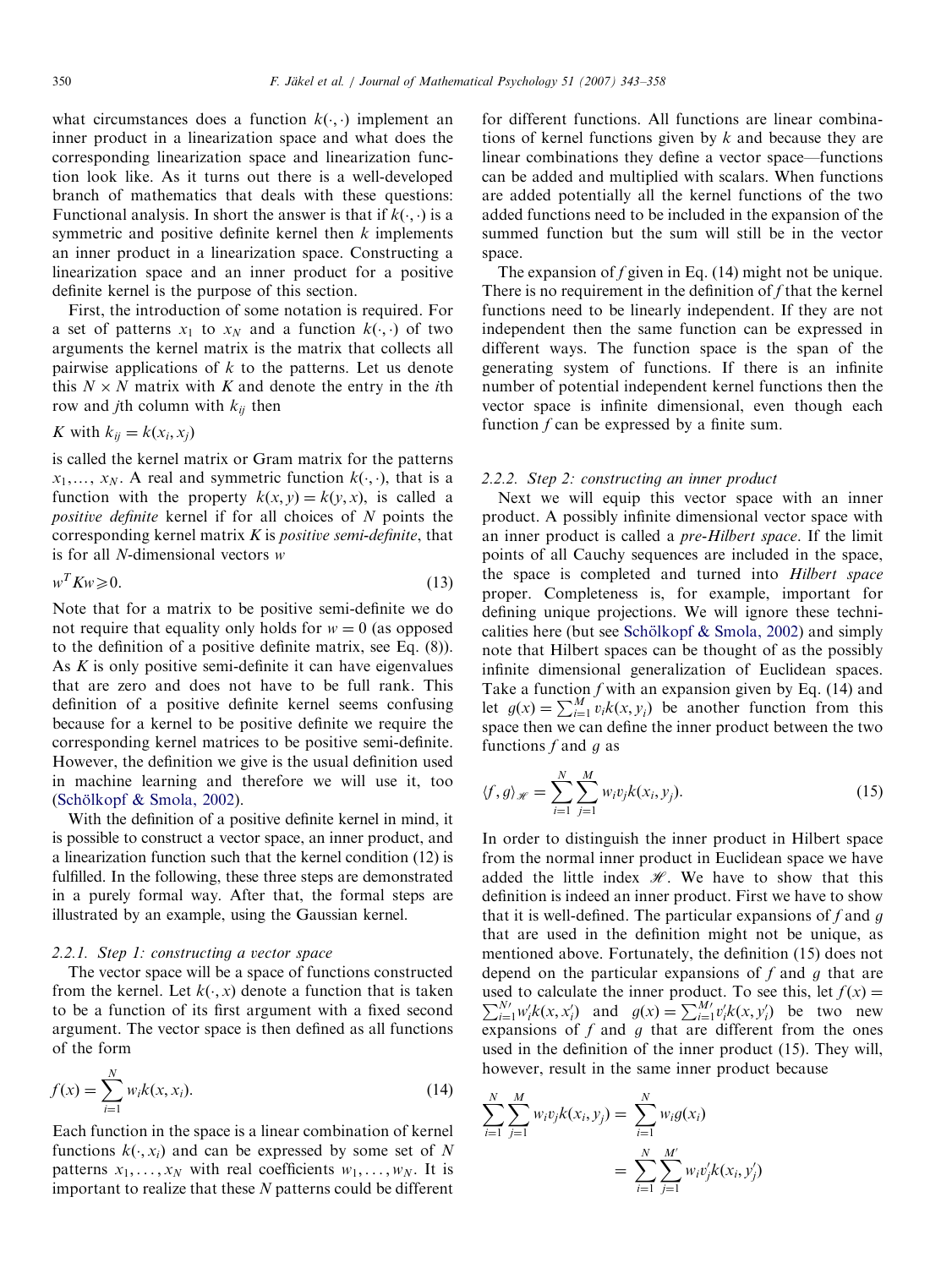what circumstances does a function  $k(\cdot, \cdot)$  implement an inner product in a linearization space and what does the corresponding linearization space and linearization function look like. As it turns out there is a well-developed branch of mathematics that deals with these questions: Functional analysis. In short the answer is that if  $k(\cdot, \cdot)$  is a symmetric and positive definite kernel then  $k$  implements an inner product in a linearization space. Constructing a linearization space and an inner product for a positive definite kernel is the purpose of this section.

First, the introduction of some notation is required. For a set of patterns  $x_1$  to  $x_N$  and a function  $k(\cdot, \cdot)$  of two arguments the kernel matrix is the matrix that collects all pairwise applications of  $k$  to the patterns. Let us denote this  $N \times N$  matrix with K and denote the entry in the *i*th row and *j*th column with  $k_{ii}$  then

K with 
$$
k_{ij} = k(x_i, x_j)
$$

is called the kernel matrix or Gram matrix for the patterns  $x_1, \ldots, x_N$ . A real and symmetric function  $k(\cdot, \cdot)$ , that is a function with the property  $k(x, y) = k(y, x)$ , is called a positive definite kernel if for all choices of N points the corresponding kernel matrix  $K$  is *positive semi-definite*, that is for all N-dimensional vectors w

$$
w^T K w \geqslant 0. \tag{13}
$$

Note that for a matrix to be positive semi-definite we do not require that equality only holds for  $w = 0$  (as opposed to the definition of a positive definite matrix, see Eq. (8)). As  $K$  is only positive semi-definite it can have eigenvalues that are zero and does not have to be full rank. This definition of a positive definite kernel seems confusing because for a kernel to be positive definite we require the corresponding kernel matrices to be positive semi-definite. However, the definition we give is the usual definition used in machine learning and therefore we will use it, too (Schölkopf & Smola, 2002).

With the definition of a positive definite kernel in mind, it is possible to construct a vector space, an inner product, and a linearization function such that the kernel condition (12) is fulfilled. In the following, these three steps are demonstrated in a purely formal way. After that, the formal steps are illustrated by an example, using the Gaussian kernel.

## 2.2.1. Step 1: constructing a vector space

The vector space will be a space of functions constructed from the kernel. Let  $k(\cdot, x)$  denote a function that is taken to be a function of its first argument with a fixed second argument. The vector space is then defined as all functions of the form

$$
f(x) = \sum_{i=1}^{N} w_i k(x, x_i).
$$
 (14)

Each function in the space is a linear combination of kernel functions  $k(\cdot, x_i)$  and can be expressed by some set of N patterns  $x_1, \ldots, x_N$  with real coefficients  $w_1, \ldots, w_N$ . It is important to realize that these  $N$  patterns could be different for different functions. All functions are linear combinations of kernel functions given by  $k$  and because they are linear combinations they define a vector space—functions can be added and multiplied with scalars. When functions are added potentially all the kernel functions of the two added functions need to be included in the expansion of the summed function but the sum will still be in the vector space.

The expansion of  $f$  given in Eq. (14) might not be unique. There is no requirement in the definition of  $f$  that the kernel functions need to be linearly independent. If they are not independent then the same function can be expressed in different ways. The function space is the span of the generating system of functions. If there is an infinite number of potential independent kernel functions then the vector space is infinite dimensional, even though each function  $f$  can be expressed by a finite sum.

#### 2.2.2. Step 2: constructing an inner product

Next we will equip this vector space with an inner product. A possibly infinite dimensional vector space with an inner product is called a pre-Hilbert space. If the limit points of all Cauchy sequences are included in the space, the space is completed and turned into Hilbert space proper. Completeness is, for example, important for defining unique projections. We will ignore these technicalities here (but see Schölkopf  $& \text{Smola}, 2002$ ) and simply note that Hilbert spaces can be thought of as the possibly infinite dimensional generalization of Euclidean spaces. Take a function  $f$  with an expansion given by Eq. (14) and let  $g(x) = \sum_{i=1}^{M} v_i k(x, y_i)$  be another function from this space then we can define the inner product between the two functions  $f$  and  $g$  as

$$
\langle f, g \rangle_{\mathcal{H}} = \sum_{i=1}^{N} \sum_{j=1}^{M} w_i v_j k(x_i, y_j). \tag{15}
$$

In order to distinguish the inner product in Hilbert space from the normal inner product in Euclidean space we have added the little index  $\mathcal{H}$ . We have to show that this definition is indeed an inner product. First we have to show that it is well-defined. The particular expansions of  $f$  and  $g$ that are used in the definition might not be unique, as mentioned above. Fortunately, the definition (15) does not depend on the particular expansions of  $f$  and  $g$  that are  $\sum_{i=1}^{N'} w'_i k(x, x'_i)$  and  $g(x) = \sum_{i=1}^{M'} v'_i k(x, y'_i)$  be two new used to calculate the inner product. To see this, let  $f(x) =$ expansions of  $f$  and  $g$  that are different from the ones used in the definition of the inner product (15). They will, however, result in the same inner product because

$$
\sum_{i=1}^{N} \sum_{j=1}^{M} w_i v_j k(x_i, y_j) = \sum_{i=1}^{N} w_i g(x_i)
$$
  
= 
$$
\sum_{i=1}^{N} \sum_{j=1}^{M'} w_i v_j' k(x_i, y_j')
$$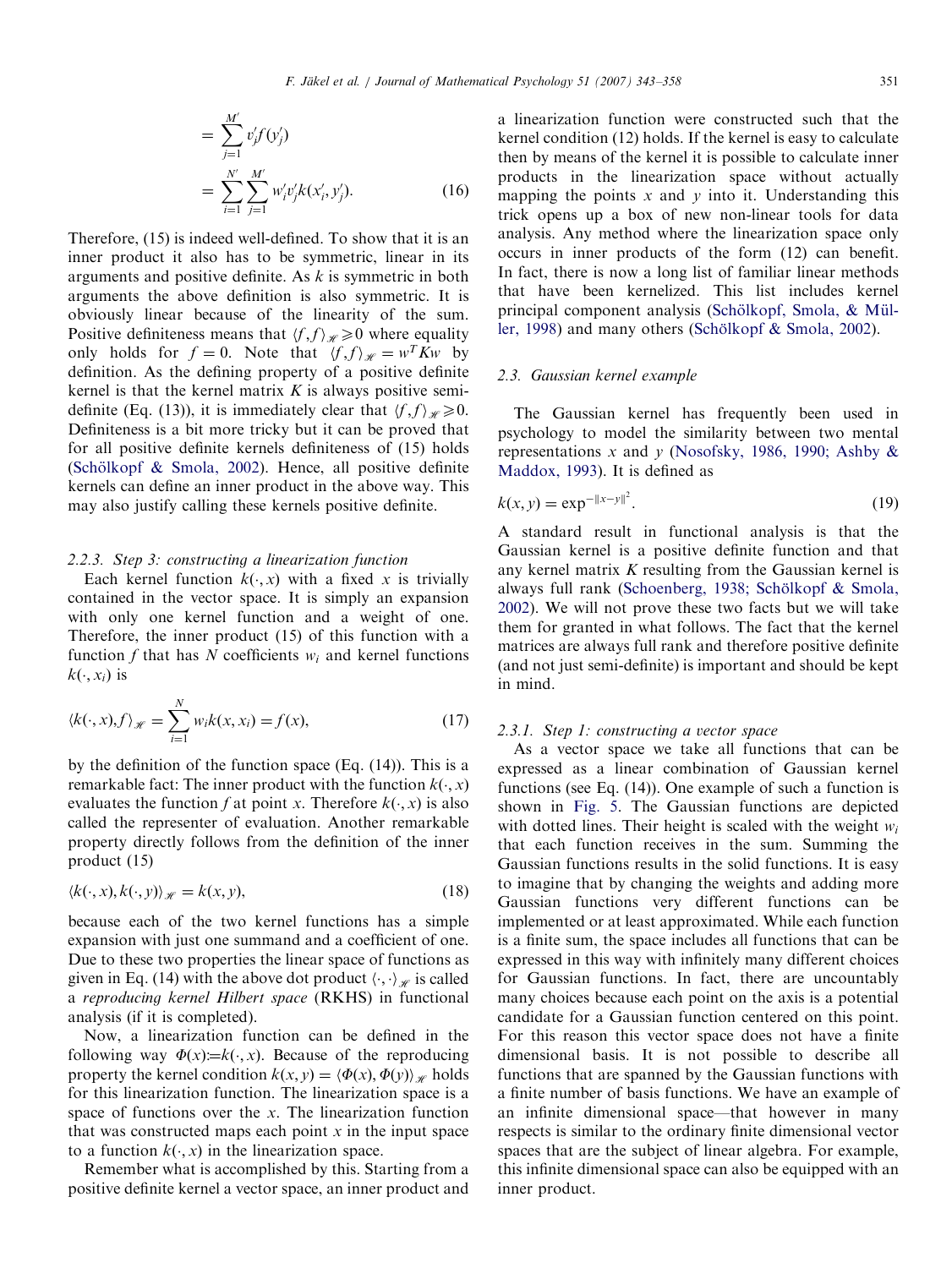$$
= \sum_{j=1}^{M'} v'_j f(y'_j)
$$
  
= 
$$
\sum_{i=1}^{N'} \sum_{j=1}^{M'} w'_i v'_j k(x'_i, y'_j).
$$
 (16)

Therefore, (15) is indeed well-defined. To show that it is an inner product it also has to be symmetric, linear in its arguments and positive definite. As  $k$  is symmetric in both arguments the above definition is also symmetric. It is obviously linear because of the linearity of the sum. Positive definiteness means that  $\langle f, f \rangle_{\mathcal{H}} \geq 0$  where equality only holds for  $f = 0$ . Note that  $\langle f, f \rangle_{\mathscr{W}} = w^T K w$  by definition. As the defining property of a positive definite kernel is that the kernel matrix  $K$  is always positive semidefinite (Eq. (13)), it is immediately clear that  $\langle f, f \rangle_{\mathcal{H}} \ge 0$ . Definiteness is a bit more tricky but it can be proved that for all positive definite kernels definiteness of (15) holds (Schölkopf  $\&$  Smola, 2002). Hence, all positive definite kernels can define an inner product in the above way. This may also justify calling these kernels positive definite.

#### 2.2.3. Step 3: constructing a linearization function

Each kernel function  $k(\cdot, x)$  with a fixed x is trivially contained in the vector space. It is simply an expansion with only one kernel function and a weight of one. Therefore, the inner product (15) of this function with a function f that has N coefficients  $w_i$  and kernel functions  $k(\cdot, x_i)$  is

$$
\langle k(\cdot, x), f \rangle_{\mathcal{H}} = \sum_{i=1}^{N} w_i k(x, x_i) = f(x), \tag{17}
$$

by the definition of the function space (Eq. (14)). This is a remarkable fact: The inner product with the function  $k(\cdot, x)$ evaluates the function f at point x. Therefore  $k(\cdot, x)$  is also called the representer of evaluation. Another remarkable property directly follows from the definition of the inner product (15)

$$
\langle k(\cdot, x), k(\cdot, y) \rangle_{\mathcal{H}} = k(x, y), \tag{18}
$$

because each of the two kernel functions has a simple expansion with just one summand and a coefficient of one. Due to these two properties the linear space of functions as given in Eq. (14) with the above dot product  $\langle \cdot, \cdot \rangle_{\mathcal{H}}$  is called a reproducing kernel Hilbert space (RKHS) in functional analysis (if it is completed).

Now, a linearization function can be defined in the following way  $\Phi(x)=k(\cdot, x)$ . Because of the reproducing property the kernel condition  $k(x, y) = \langle \Phi(x), \Phi(y) \rangle_{\mathcal{H}}$  holds for this linearization function. The linearization space is a space of functions over the  $x$ . The linearization function that was constructed maps each point  $x$  in the input space to a function  $k(\cdot, x)$  in the linearization space.

Remember what is accomplished by this. Starting from a positive definite kernel a vector space, an inner product and a linearization function were constructed such that the kernel condition (12) holds. If the kernel is easy to calculate then by means of the kernel it is possible to calculate inner products in the linearization space without actually mapping the points  $x$  and  $y$  into it. Understanding this trick opens up a box of new non-linear tools for data analysis. Any method where the linearization space only occurs in inner products of the form (12) can benefit. In fact, there is now a long list of familiar linear methods that have been kernelized. This list includes kernel principal component analysis (Schölkopf, Smola, & Mül[ler, 1998](#page-15-0)) and many others (Schölkopf & [Smola, 2002](#page-15-0)).

## 2.3. Gaussian kernel example

The Gaussian kernel has frequently been used in psychology to model the similarity between two mental representations x and y (Nosofsky, 1986, 1990; Ashby  $\&$ [Maddox, 1993\)](#page-15-0). It is defined as

$$
k(x, y) = \exp^{-\|x - y\|^2}.
$$
 (19)

A standard result in functional analysis is that the Gaussian kernel is a positive definite function and that any kernel matrix K resulting from the Gaussian kernel is always full rank (Schoenberg, 1938; Schölkopf & [Smola,](#page-15-0) [2002](#page-15-0)). We will not prove these two facts but we will take them for granted in what follows. The fact that the kernel matrices are always full rank and therefore positive definite (and not just semi-definite) is important and should be kept in mind.

#### 2.3.1. Step 1: constructing a vector space

As a vector space we take all functions that can be expressed as a linear combination of Gaussian kernel functions (see Eq. (14)). One example of such a function is shown in [Fig. 5.](#page-9-0) The Gaussian functions are depicted with dotted lines. Their height is scaled with the weight  $w_i$ that each function receives in the sum. Summing the Gaussian functions results in the solid functions. It is easy to imagine that by changing the weights and adding more Gaussian functions very different functions can be implemented or at least approximated. While each function is a finite sum, the space includes all functions that can be expressed in this way with infinitely many different choices for Gaussian functions. In fact, there are uncountably many choices because each point on the axis is a potential candidate for a Gaussian function centered on this point. For this reason this vector space does not have a finite dimensional basis. It is not possible to describe all functions that are spanned by the Gaussian functions with a finite number of basis functions. We have an example of an infinite dimensional space—that however in many respects is similar to the ordinary finite dimensional vector spaces that are the subject of linear algebra. For example, this infinite dimensional space can also be equipped with an inner product.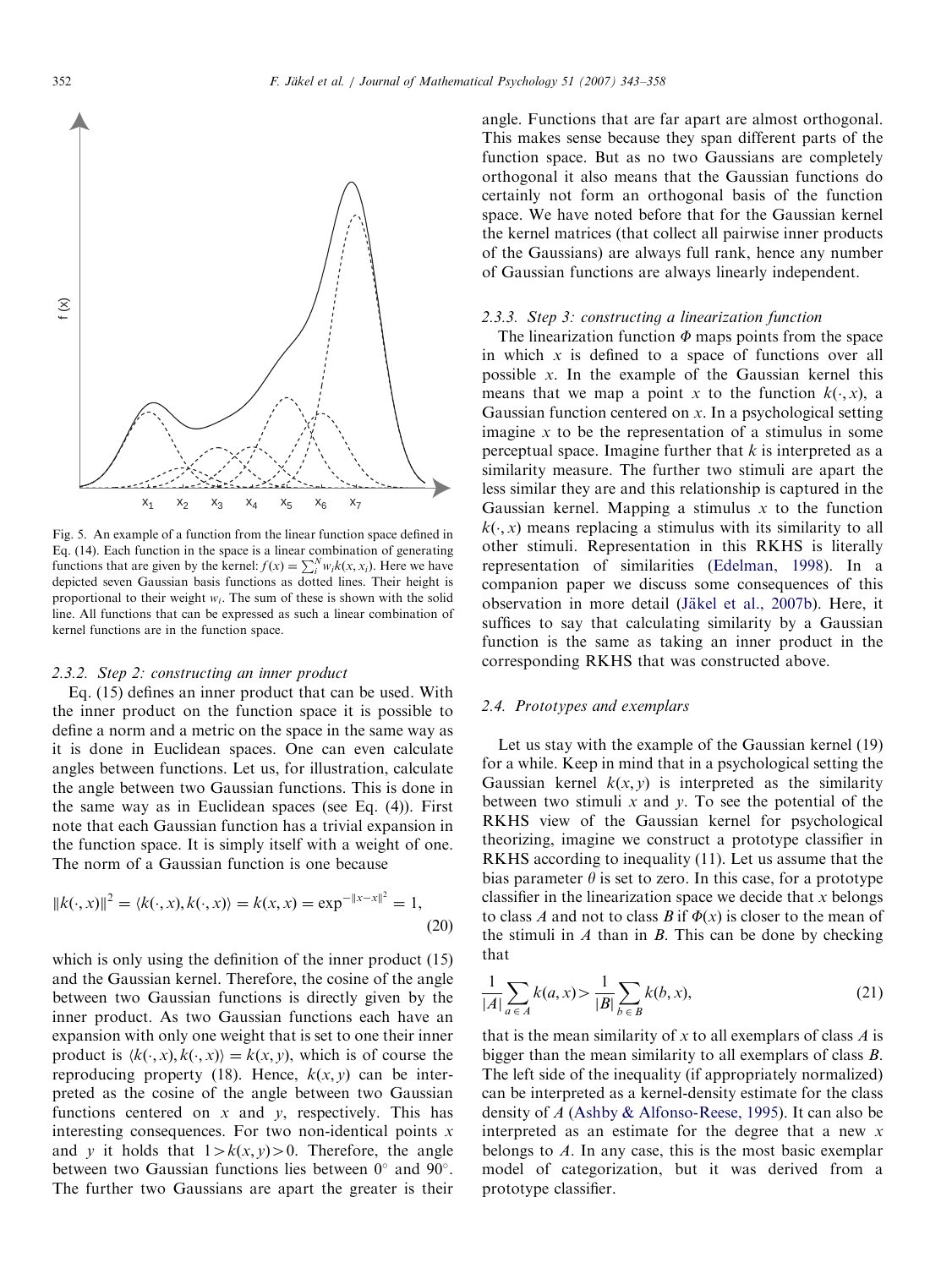<span id="page-9-0"></span>

Fig. 5. An example of a function from the linear function space defined in Eq. (14). Each function in the space is a linear combination of generating functions that are given by the kernel:  $f(x) = \sum_{i}^{N} w_i k(x, x_i)$ . Here we have depicted seven Gaussian basis functions as dotted lines. Their height is proportional to their weight  $w_i$ . The sum of these is shown with the solid line. All functions that can be expressed as such a linear combination of kernel functions are in the function space.

#### 2.3.2. Step 2: constructing an inner product

Eq. (15) defines an inner product that can be used. With the inner product on the function space it is possible to define a norm and a metric on the space in the same way as it is done in Euclidean spaces. One can even calculate angles between functions. Let us, for illustration, calculate the angle between two Gaussian functions. This is done in the same way as in Euclidean spaces (see Eq. (4)). First note that each Gaussian function has a trivial expansion in the function space. It is simply itself with a weight of one. The norm of a Gaussian function is one because

$$
||k(\cdot, x)||^2 = \langle k(\cdot, x), k(\cdot, x) \rangle = k(x, x) = \exp^{-||x - x||^2} = 1,
$$
\n(20)

which is only using the definition of the inner product (15) and the Gaussian kernel. Therefore, the cosine of the angle between two Gaussian functions is directly given by the inner product. As two Gaussian functions each have an expansion with only one weight that is set to one their inner product is  $\langle k(\cdot, x), k(\cdot, x) \rangle = k(x, y)$ , which is of course the reproducing property (18). Hence,  $k(x, y)$  can be interpreted as the cosine of the angle between two Gaussian functions centered on  $x$  and  $y$ , respectively. This has interesting consequences. For two non-identical points  $x$ and y it holds that  $1 > k(x, y) > 0$ . Therefore, the angle between two Gaussian functions lies between  $0^{\circ}$  and  $90^{\circ}$ . The further two Gaussians are apart the greater is their

angle. Functions that are far apart are almost orthogonal. This makes sense because they span different parts of the function space. But as no two Gaussians are completely orthogonal it also means that the Gaussian functions do certainly not form an orthogonal basis of the function space. We have noted before that for the Gaussian kernel the kernel matrices (that collect all pairwise inner products of the Gaussians) are always full rank, hence any number of Gaussian functions are always linearly independent.

## 2.3.3. Step 3: constructing a linearization function

The linearization function  $\Phi$  maps points from the space in which  $x$  is defined to a space of functions over all possible x. In the example of the Gaussian kernel this means that we map a point x to the function  $k(\cdot, x)$ , a Gaussian function centered on  $x$ . In a psychological setting imagine  $x$  to be the representation of a stimulus in some perceptual space. Imagine further that  $k$  is interpreted as a similarity measure. The further two stimuli are apart the less similar they are and this relationship is captured in the Gaussian kernel. Mapping a stimulus  $x$  to the function  $k(\cdot, x)$  means replacing a stimulus with its similarity to all other stimuli. Representation in this RKHS is literally representation of similarities [\(Edelman, 1998](#page-14-0)). In a companion paper we discuss some consequences of this observation in more detail (Jäkel et al., 2007b). Here, it suffices to say that calculating similarity by a Gaussian function is the same as taking an inner product in the corresponding RKHS that was constructed above.

## 2.4. Prototypes and exemplars

Let us stay with the example of the Gaussian kernel (19) for a while. Keep in mind that in a psychological setting the Gaussian kernel  $k(x, y)$  is interpreted as the similarity between two stimuli x and y. To see the potential of the RKHS view of the Gaussian kernel for psychological theorizing, imagine we construct a prototype classifier in RKHS according to inequality (11). Let us assume that the bias parameter  $\theta$  is set to zero. In this case, for a prototype classifier in the linearization space we decide that  $x$  belongs to class A and not to class B if  $\Phi(x)$  is closer to the mean of the stimuli in  $A$  than in  $B$ . This can be done by checking that

$$
\frac{1}{|A|} \sum_{a \in A} k(a, x) > \frac{1}{|B|} \sum_{b \in B} k(b, x),\tag{21}
$$

that is the mean similarity of  $x$  to all exemplars of class  $A$  is bigger than the mean similarity to all exemplars of class B. The left side of the inequality (if appropriately normalized) can be interpreted as a kernel-density estimate for the class density of A [\(Ashby](#page-14-0) [& Alfonso-Reese, 1995](#page-14-0)). It can also be interpreted as an estimate for the degree that a new  $x$ belongs to A. In any case, this is the most basic exemplar model of categorization, but it was derived from a prototype classifier.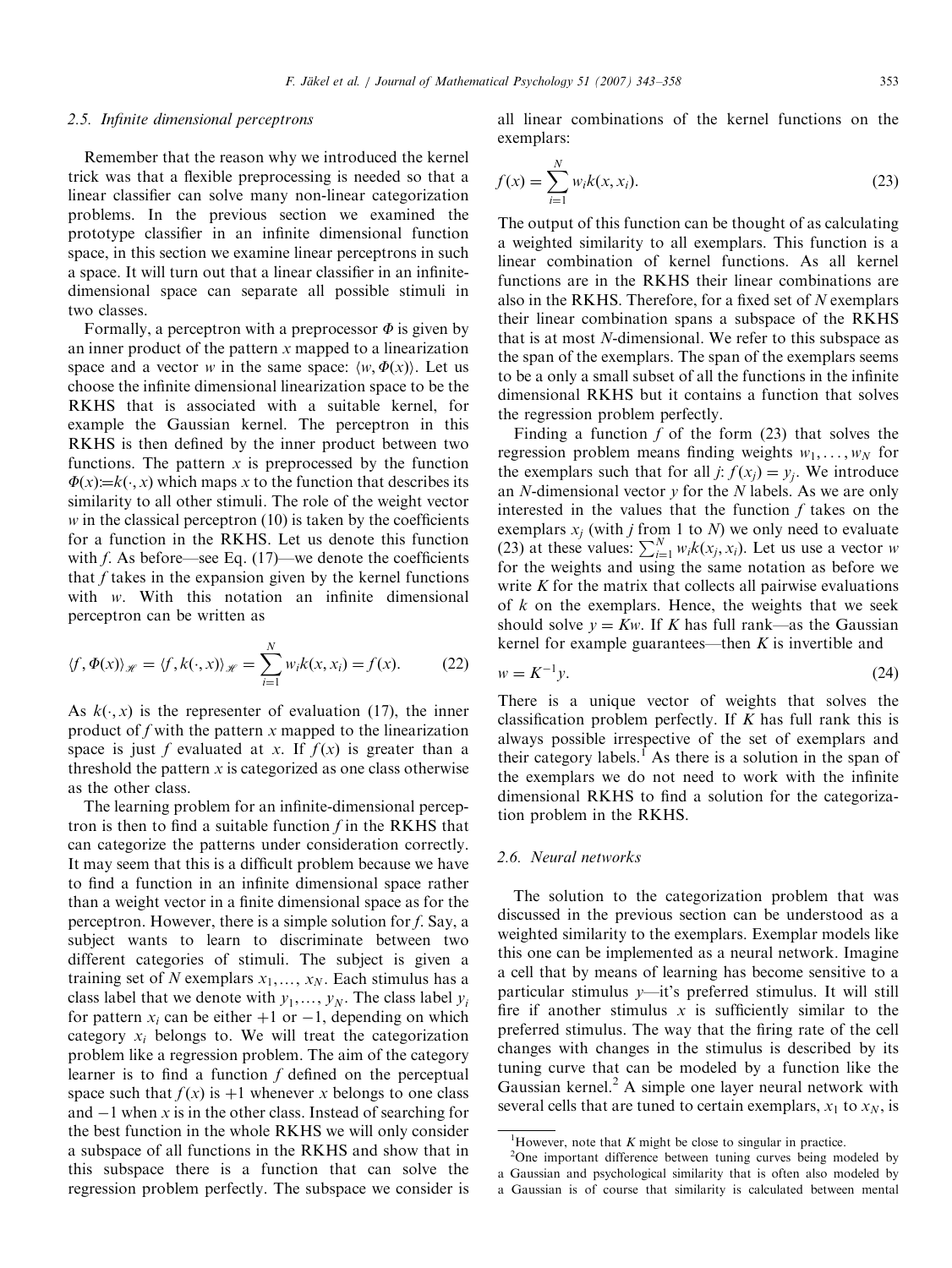#### 2.5. Infinite dimensional perceptrons

Remember that the reason why we introduced the kernel trick was that a flexible preprocessing is needed so that a linear classifier can solve many non-linear categorization problems. In the previous section we examined the prototype classifier in an infinite dimensional function space, in this section we examine linear perceptrons in such a space. It will turn out that a linear classifier in an infinitedimensional space can separate all possible stimuli in two classes.

Formally, a perceptron with a preprocessor  $\Phi$  is given by an inner product of the pattern  $x$  mapped to a linearization space and a vector w in the same space:  $\langle w, \Phi(x) \rangle$ . Let us choose the infinite dimensional linearization space to be the RKHS that is associated with a suitable kernel, for example the Gaussian kernel. The perceptron in this RKHS is then defined by the inner product between two functions. The pattern  $x$  is preprocessed by the function  $\Phi(x)=k(\cdot, x)$  which maps x to the function that describes its similarity to all other stimuli. The role of the weight vector  $w$  in the classical perceptron (10) is taken by the coefficients for a function in the RKHS. Let us denote this function with  $f$ . As before—see Eq. (17)—we denote the coefficients that f takes in the expansion given by the kernel functions with w. With this notation an infinite dimensional perceptron can be written as

$$
\langle f, \Phi(x) \rangle_{\mathcal{H}} = \langle f, k(\cdot, x) \rangle_{\mathcal{H}} = \sum_{i=1}^{N} w_i k(x, x_i) = f(x). \tag{22}
$$

As  $k(\cdot, x)$  is the representer of evaluation (17), the inner product of f with the pattern x mapped to the linearization space is just f evaluated at x. If  $f(x)$  is greater than a threshold the pattern  $x$  is categorized as one class otherwise as the other class.

The learning problem for an infinite-dimensional perceptron is then to find a suitable function  $f$  in the RKHS that can categorize the patterns under consideration correctly. It may seem that this is a difficult problem because we have to find a function in an infinite dimensional space rather than a weight vector in a finite dimensional space as for the perceptron. However, there is a simple solution for f. Say, a subject wants to learn to discriminate between two different categories of stimuli. The subject is given a training set of N exemplars  $x_1, \ldots, x_N$ . Each stimulus has a class label that we denote with  $y_1, \ldots, y_N$ . The class label  $y_i$ for pattern  $x_i$  can be either  $+1$  or  $-1$ , depending on which category  $x_i$  belongs to. We will treat the categorization problem like a regression problem. The aim of the category learner is to find a function  $f$  defined on the perceptual space such that  $f(x)$  is  $+1$  whenever x belongs to one class and  $-1$  when x is in the other class. Instead of searching for the best function in the whole RKHS we will only consider a subspace of all functions in the RKHS and show that in this subspace there is a function that can solve the regression problem perfectly. The subspace we consider is all linear combinations of the kernel functions on the exemplars:

$$
f(x) = \sum_{i=1}^{N} w_i k(x, x_i).
$$
 (23)

The output of this function can be thought of as calculating a weighted similarity to all exemplars. This function is a linear combination of kernel functions. As all kernel functions are in the RKHS their linear combinations are also in the RKHS. Therefore, for a fixed set of N exemplars their linear combination spans a subspace of the RKHS that is at most N-dimensional. We refer to this subspace as the span of the exemplars. The span of the exemplars seems to be a only a small subset of all the functions in the infinite dimensional RKHS but it contains a function that solves the regression problem perfectly.

Finding a function  $f$  of the form (23) that solves the regression problem means finding weights  $w_1, \ldots, w_N$  for the exemplars such that for all *j*:  $f(x_i) = y_i$ . We introduce an  $N$ -dimensional vector  $y$  for the  $N$  labels. As we are only interested in the values that the function  $f$  takes on the exemplars  $x_i$  (with *j* from 1 to *N*) we only need to evaluate (23) at these values:  $\sum_{i=1}^{N} w_i k(x_i, x_i)$ . Let us use a vector w for the weights and using the same notation as before we write  $K$  for the matrix that collects all pairwise evaluations of  $k$  on the exemplars. Hence, the weights that we seek should solve  $y = Kw$ . If K has full rank—as the Gaussian kernel for example guarantees—then  $K$  is invertible and

$$
w = K^{-1}y.\tag{24}
$$

There is a unique vector of weights that solves the classification problem perfectly. If  $K$  has full rank this is always possible irrespective of the set of exemplars and their category labels.<sup>1</sup> As there is a solution in the span of the exemplars we do not need to work with the infinite dimensional RKHS to find a solution for the categorization problem in the RKHS.

## 2.6. Neural networks

The solution to the categorization problem that was discussed in the previous section can be understood as a weighted similarity to the exemplars. Exemplar models like this one can be implemented as a neural network. Imagine a cell that by means of learning has become sensitive to a particular stimulus  $y$ —it's preferred stimulus. It will still fire if another stimulus  $x$  is sufficiently similar to the preferred stimulus. The way that the firing rate of the cell changes with changes in the stimulus is described by its tuning curve that can be modeled by a function like the Gaussian kernel.<sup>2</sup> A simple one layer neural network with several cells that are tuned to certain exemplars,  $x_1$  to  $x_N$ , is

 $^{2}$ One important difference between tuning curves being modeled by

a Gaussian is of course that similarity is calculated between mental

<sup>&</sup>lt;sup>1</sup>However, note that K might be close to singular in practice.<sup>2</sup>One important difference between tuning curves being mo

a Gaussian and psychological similarity that is often also modeled by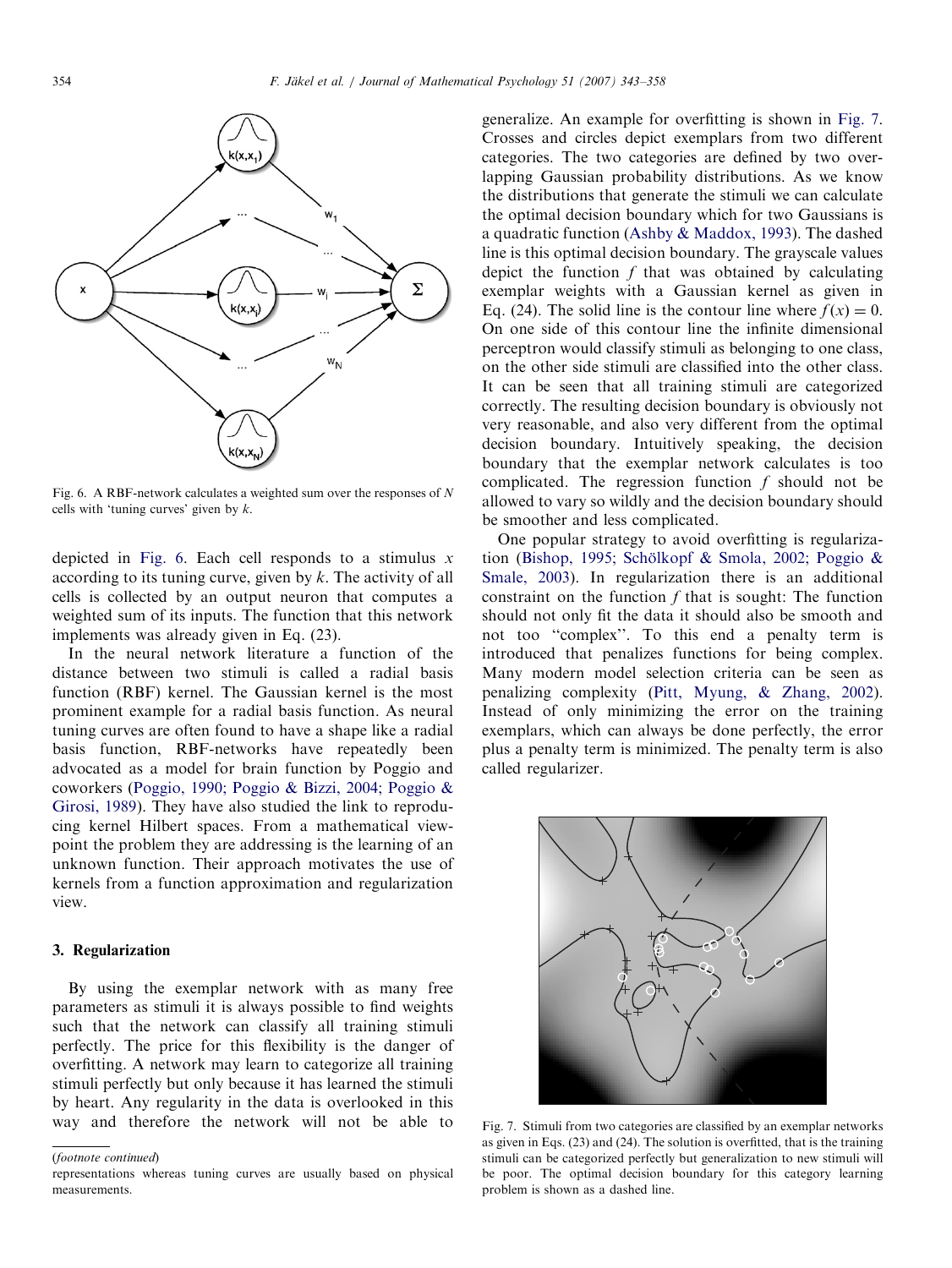<span id="page-11-0"></span>

Fig. 6. A RBF-network calculates a weighted sum over the responses of  $N$ cells with 'tuning curves' given by  $k$ .

depicted in Fig. 6. Each cell responds to a stimulus  $x$ according to its tuning curve, given by  $k$ . The activity of all cells is collected by an output neuron that computes a weighted sum of its inputs. The function that this network implements was already given in Eq. (23).

In the neural network literature a function of the distance between two stimuli is called a radial basis function (RBF) kernel. The Gaussian kernel is the most prominent example for a radial basis function. As neural tuning curves are often found to have a shape like a radial basis function, RBF-networks have repeatedly been advocated as a model for brain function by Poggio and coworkers [\(Poggio, 1990; Poggio & Bizzi, 2004; Poggio](#page-15-0) & [Girosi, 1989\)](#page-15-0). They have also studied the link to reproducing kernel Hilbert spaces. From a mathematical viewpoint the problem they are addressing is the learning of an unknown function. Their approach motivates the use of kernels from a function approximation and regularization view.

# 3. Regularization

By using the exemplar network with as many free parameters as stimuli it is always possible to find weights such that the network can classify all training stimuli perfectly. The price for this flexibility is the danger of overfitting. A network may learn to categorize all training stimuli perfectly but only because it has learned the stimuli by heart. Any regularity in the data is overlooked in this way and therefore the network will not be able to generalize. An example for overfitting is shown in Fig. 7. Crosses and circles depict exemplars from two different categories. The two categories are defined by two overlapping Gaussian probability distributions. As we know the distributions that generate the stimuli we can calculate the optimal decision boundary which for two Gaussians is a quadratic function ([Ashby & Maddox, 1993\)](#page-14-0). The dashed line is this optimal decision boundary. The grayscale values depict the function  $f$  that was obtained by calculating exemplar weights with a Gaussian kernel as given in Eq. (24). The solid line is the contour line where  $f(x) = 0$ . On one side of this contour line the infinite dimensional perceptron would classify stimuli as belonging to one class, on the other side stimuli are classified into the other class. It can be seen that all training stimuli are categorized correctly. The resulting decision boundary is obviously not very reasonable, and also very different from the optimal decision boundary. Intuitively speaking, the decision boundary that the exemplar network calculates is too complicated. The regression function  $f$  should not be allowed to vary so wildly and the decision boundary should be smoother and less complicated.

One popular strategy to avoid overfitting is regulariza-tion (Bishop, 1995; Schölkopf & [Smola, 2002; Poggio](#page-14-0) & [Smale, 2003\)](#page-14-0). In regularization there is an additional constraint on the function  $f$  that is sought: The function should not only fit the data it should also be smooth and not too ''complex''. To this end a penalty term is introduced that penalizes functions for being complex. Many modern model selection criteria can be seen as penalizing complexity [\(Pitt, Myung, & Zhang, 2002\)](#page-15-0). Instead of only minimizing the error on the training exemplars, which can always be done perfectly, the error plus a penalty term is minimized. The penalty term is also called regularizer.



Fig. 7. Stimuli from two categories are classified by an exemplar networks as given in Eqs. (23) and (24). The solution is overfitted, that is the training stimuli can be categorized perfectly but generalization to new stimuli will be poor. The optimal decision boundary for this category learning problem is shown as a dashed line.

<sup>(</sup>footnote continued)

representations whereas tuning curves are usually based on physical measurements.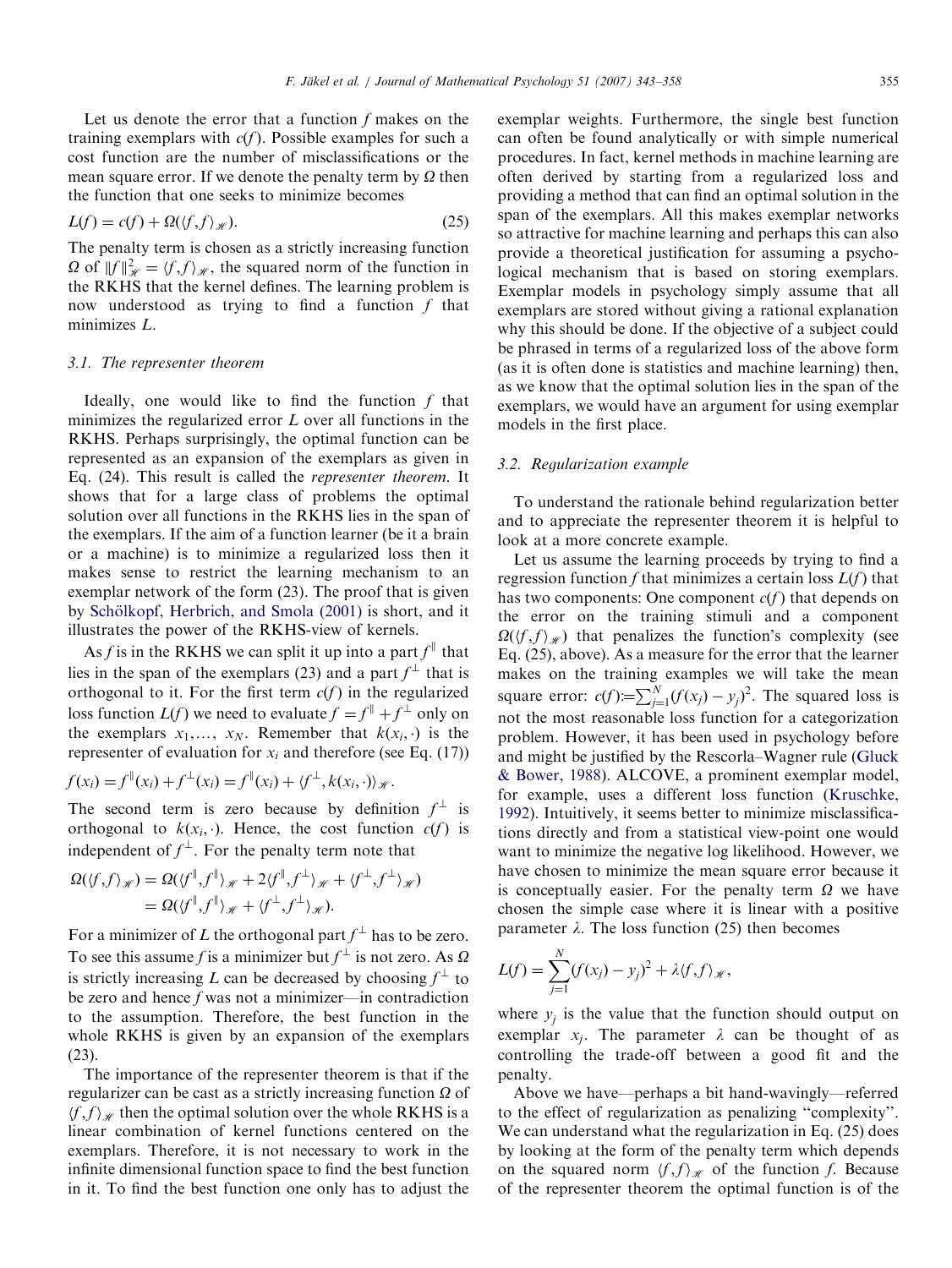Let us denote the error that a function  $f$  makes on the training exemplars with  $c(f)$ . Possible examples for such a cost function are the number of misclassifications or the mean square error. If we denote the penalty term by  $\Omega$  then the function that one seeks to minimize becomes

$$
L(f) = c(f) + \Omega(\langle f, f \rangle_{\mathcal{H}}). \tag{25}
$$

The penalty term is chosen as a strictly increasing function  $\Omega$  of  $||f||_{\mathcal{H}}^2 = \langle f, f \rangle_{\mathcal{H}}$ , the squared norm of the function in the RKHS that the kernel defines. The learning problem is now understood as trying to find a function  $f$  that minimizes L.

#### 3.1. The representer theorem

Ideally, one would like to find the function f that minimizes the regularized error  $L$  over all functions in the RKHS. Perhaps surprisingly, the optimal function can be represented as an expansion of the exemplars as given in Eq. (24). This result is called the representer theorem. It shows that for a large class of problems the optimal solution over all functions in the RKHS lies in the span of the exemplars. If the aim of a function learner (be it a brain or a machine) is to minimize a regularized loss then it makes sense to restrict the learning mechanism to an exemplar network of the form (23). The proof that is given by Schölkopf, Herbrich, and Smola (2001) is short, and it illustrates the power of the RKHS-view of kernels.

As f is in the RKHS we can split it up into a part  $f^{\parallel}$  that lies in the span of the exemplars (23) and a part  $f^{\perp}$  that is orthogonal to it. For the first term  $c(f)$  in the regularized loss function  $L(f)$  we need to evaluate  $f = f^{\parallel} + f^{\perp}$  only on the exemplars  $x_1, \ldots, x_N$ . Remember that  $k(x_i, \cdot)$  is the representer of evaluation for  $x_i$  and therefore (see Eq. (17))

$$
f(x_i) = f^{\parallel}(x_i) + f^{\perp}(x_i) = f^{\parallel}(x_i) + \langle f^{\perp}, k(x_i, \cdot) \rangle_{\mathcal{H}}.
$$

The second term is zero because by definition  $f^{\perp}$  is orthogonal to  $k(x_i, \cdot)$ . Hence, the cost function  $c(f)$  is independent of  $f^{\perp}$ . For the penalty term note that

$$
\Omega(\langle f, f \rangle_{\mathcal{H}}) = \Omega(\langle f^{\parallel}, f^{\parallel} \rangle_{\mathcal{H}} + 2\langle f^{\parallel}, f^{\perp} \rangle_{\mathcal{H}} + \langle f^{\perp}, f^{\perp} \rangle_{\mathcal{H}})
$$
  
=  $\Omega(\langle f^{\parallel}, f^{\parallel} \rangle_{\mathcal{H}} + \langle f^{\perp}, f^{\perp} \rangle_{\mathcal{H}}).$ 

For a minimizer of L the orthogonal part  $f^{\perp}$  has to be zero. To see this assume f is a minimizer but  $f^{\perp}$  is not zero. As  $\Omega$ is strictly increasing L can be decreased by choosing  $f^{\perp}$  to be zero and hence  $f$  was not a minimizer—in contradiction to the assumption. Therefore, the best function in the whole RKHS is given by an expansion of the exemplars (23).

The importance of the representer theorem is that if the regularizer can be cast as a strictly increasing function  $\Omega$  of  $\langle f, f \rangle_{\mathcal{H}}$  then the optimal solution over the whole RKHS is a linear combination of kernel functions centered on the exemplars. Therefore, it is not necessary to work in the infinite dimensional function space to find the best function in it. To find the best function one only has to adjust the exemplar weights. Furthermore, the single best function can often be found analytically or with simple numerical procedures. In fact, kernel methods in machine learning are often derived by starting from a regularized loss and providing a method that can find an optimal solution in the span of the exemplars. All this makes exemplar networks so attractive for machine learning and perhaps this can also provide a theoretical justification for assuming a psychological mechanism that is based on storing exemplars. Exemplar models in psychology simply assume that all exemplars are stored without giving a rational explanation why this should be done. If the objective of a subject could be phrased in terms of a regularized loss of the above form (as it is often done is statistics and machine learning) then, as we know that the optimal solution lies in the span of the exemplars, we would have an argument for using exemplar models in the first place.

#### 3.2. Regularization example

To understand the rationale behind regularization better and to appreciate the representer theorem it is helpful to look at a more concrete example.

Let us assume the learning proceeds by trying to find a regression function f that minimizes a certain loss  $L(f)$  that has two components: One component  $c(f)$  that depends on the error on the training stimuli and a component  $\Omega(f, f)_{\mathscr{H}}$ ) that penalizes the function's complexity (see Eq. (25), above). As a measure for the error that the learner makes on the training examples we will take the mean square error:  $c(f) = \sum_{j=1}^{N} (f(x_j) - y_j)^2$ . The squared loss is not the most reasonable loss function for a categorization problem. However, it has been used in psychology before and might be justified by the Rescorla–Wagner rule [\(Gluck](#page-14-0) [& Bower, 1988](#page-14-0)). ALCOVE, a prominent exemplar model, for example, uses a different loss function ([Kruschke,](#page-14-0) [1992](#page-14-0)). Intuitively, it seems better to minimize misclassifications directly and from a statistical view-point one would want to minimize the negative log likelihood. However, we have chosen to minimize the mean square error because it is conceptually easier. For the penalty term  $\Omega$  we have chosen the simple case where it is linear with a positive parameter  $\lambda$ . The loss function (25) then becomes

$$
L(f) = \sum_{j=1}^N (f(x_j) - y_j)^2 + \lambda \langle f, f \rangle_{\mathcal{H}},
$$

where  $y_i$  is the value that the function should output on exemplar  $x_j$ . The parameter  $\lambda$  can be thought of as controlling the trade-off between a good fit and the penalty.

Above we have—perhaps a bit hand-wavingly—referred to the effect of regularization as penalizing ''complexity''. We can understand what the regularization in Eq. (25) does by looking at the form of the penalty term which depends on the squared norm  $\langle f, f \rangle_{\mathcal{H}}$  of the function f. Because of the representer theorem the optimal function is of the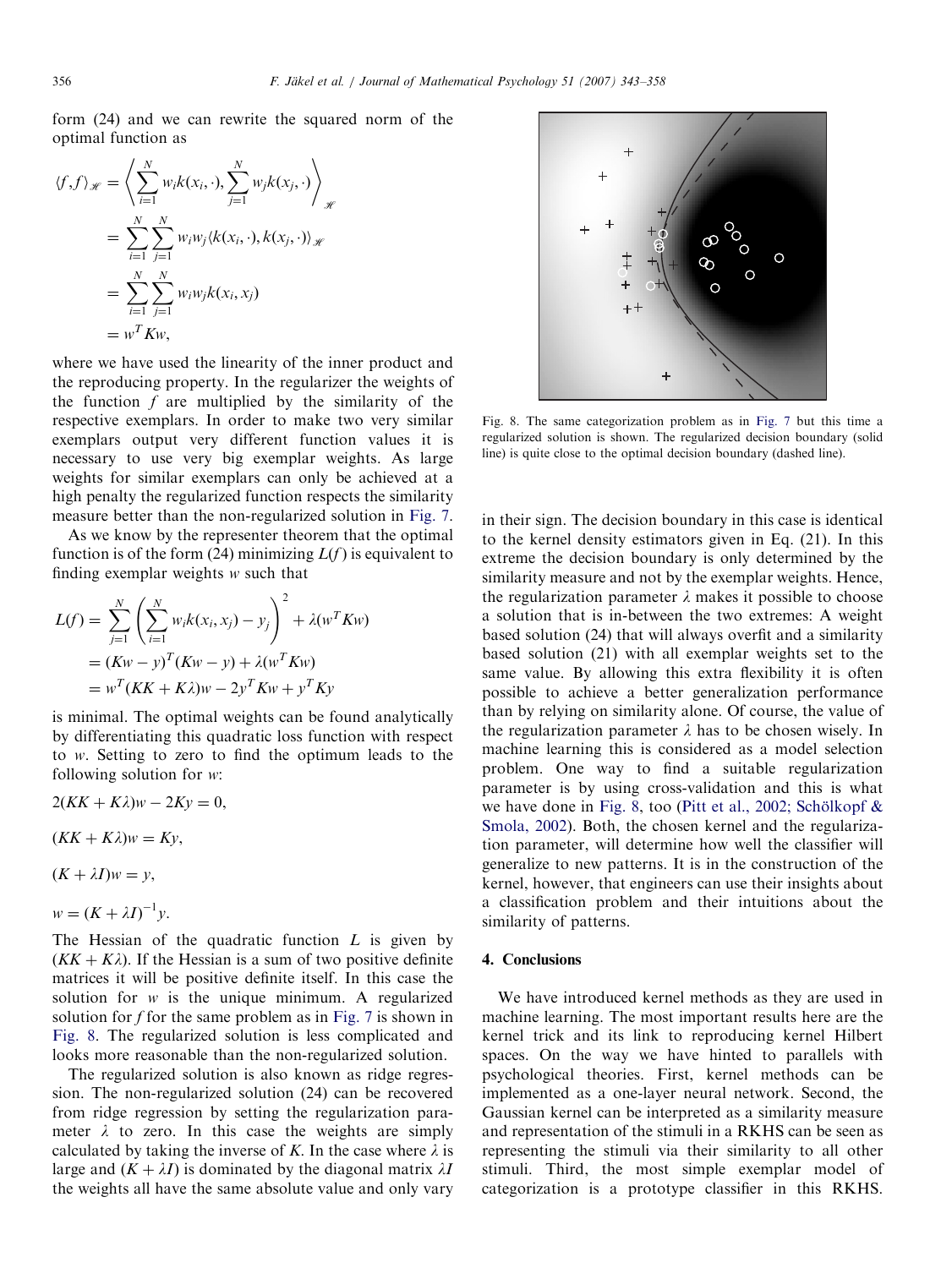form (24) and we can rewrite the squared norm of the optimal function as

$$
\langle f, f \rangle_{\mathscr{H}} = \left\langle \sum_{i=1}^{N} w_i k(x_i, \cdot), \sum_{j=1}^{N} w_j k(x_j, \cdot) \right\rangle_{\mathscr{H}}
$$
  
= 
$$
\sum_{i=1}^{N} \sum_{j=1}^{N} w_i w_j \langle k(x_i, \cdot), k(x_j, \cdot) \rangle_{\mathscr{H}}
$$
  
= 
$$
\sum_{i=1}^{N} \sum_{j=1}^{N} w_i w_j k(x_i, x_j)
$$
  
= 
$$
w^T K w,
$$

where we have used the linearity of the inner product and the reproducing property. In the regularizer the weights of the function  $f$  are multiplied by the similarity of the respective exemplars. In order to make two very similar exemplars output very different function values it is necessary to use very big exemplar weights. As large weights for similar exemplars can only be achieved at a high penalty the regularized function respects the similarity measure better than the non-regularized solution in [Fig. 7](#page-11-0).

As we know by the representer theorem that the optimal function is of the form (24) minimizing  $L(f)$  is equivalent to finding exemplar weights w such that

$$
L(f) = \sum_{j=1}^{N} \left( \sum_{i=1}^{N} w_i k(x_i, x_j) - y_j \right)^2 + \lambda (w^T K w)
$$
  
=  $(Kw - y)^T (Kw - y) + \lambda (w^T K w)$   
=  $w^T (KK + K\lambda) w - 2y^T K w + y^T K y$ 

is minimal. The optimal weights can be found analytically by differentiating this quadratic loss function with respect to w. Setting to zero to find the optimum leads to the following solution for w:

$$
2(KK + K\lambda)w - 2Ky = 0,
$$
  
( $KK + K\lambda$ )w = Ky,  
( $K + \lambda I$ )w = y,

$$
w = (K + \lambda I)^{-1} y.
$$

The Hessian of the quadratic function  $L$  is given by  $(KK + K\lambda)$ . If the Hessian is a sum of two positive definite matrices it will be positive definite itself. In this case the solution for  $w$  is the unique minimum. A regularized solution for  $f$  for the same problem as in [Fig. 7](#page-11-0) is shown in Fig. 8. The regularized solution is less complicated and looks more reasonable than the non-regularized solution.

The regularized solution is also known as ridge regression. The non-regularized solution (24) can be recovered from ridge regression by setting the regularization parameter  $\lambda$  to zero. In this case the weights are simply calculated by taking the inverse of K. In the case where  $\lambda$  is large and  $(K + \lambda I)$  is dominated by the diagonal matrix  $\lambda I$ the weights all have the same absolute value and only vary



Fig. 8. The same categorization problem as in [Fig. 7](#page-11-0) but this time a regularized solution is shown. The regularized decision boundary (solid line) is quite close to the optimal decision boundary (dashed line).

in their sign. The decision boundary in this case is identical to the kernel density estimators given in Eq. (21). In this extreme the decision boundary is only determined by the similarity measure and not by the exemplar weights. Hence, the regularization parameter  $\lambda$  makes it possible to choose a solution that is in-between the two extremes: A weight based solution (24) that will always overfit and a similarity based solution (21) with all exemplar weights set to the same value. By allowing this extra flexibility it is often possible to achieve a better generalization performance than by relying on similarity alone. Of course, the value of the regularization parameter  $\lambda$  has to be chosen wisely. In machine learning this is considered as a model selection problem. One way to find a suitable regularization parameter is by using cross-validation and this is what we have done in Fig. 8, too (Pitt et al., 2002; Schölkopf  $\&$ [Smola, 2002\)](#page-15-0). Both, the chosen kernel and the regularization parameter, will determine how well the classifier will generalize to new patterns. It is in the construction of the kernel, however, that engineers can use their insights about a classification problem and their intuitions about the similarity of patterns.

## 4. Conclusions

We have introduced kernel methods as they are used in machine learning. The most important results here are the kernel trick and its link to reproducing kernel Hilbert spaces. On the way we have hinted to parallels with psychological theories. First, kernel methods can be implemented as a one-layer neural network. Second, the Gaussian kernel can be interpreted as a similarity measure and representation of the stimuli in a RKHS can be seen as representing the stimuli via their similarity to all other stimuli. Third, the most simple exemplar model of categorization is a prototype classifier in this RKHS.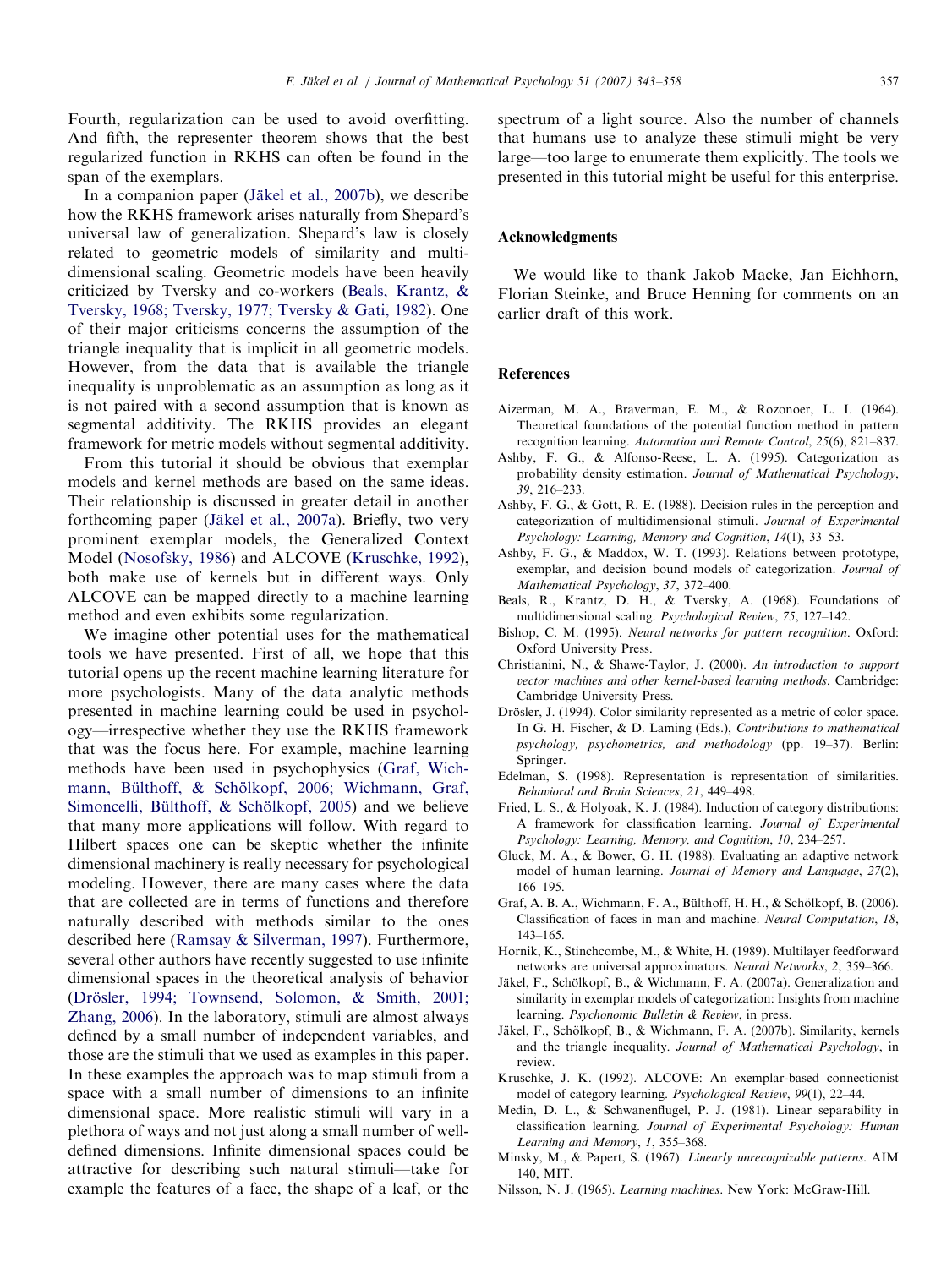<span id="page-14-0"></span>Fourth, regularization can be used to avoid overfitting. And fifth, the representer theorem shows that the best regularized function in RKHS can often be found in the span of the exemplars.

In a companion paper (Jäkel et al., 2007b), we describe how the RKHS framework arises naturally from Shepard's universal law of generalization. Shepard's law is closely related to geometric models of similarity and multidimensional scaling. Geometric models have been heavily criticized by Tversky and co-workers (Beals, Krantz, & Tversky, 1968; Tversky, 1977; Tversky & Gati, 1982). One of their major criticisms concerns the assumption of the triangle inequality that is implicit in all geometric models. However, from the data that is available the triangle inequality is unproblematic as an assumption as long as it is not paired with a second assumption that is known as segmental additivity. The RKHS provides an elegant framework for metric models without segmental additivity.

From this tutorial it should be obvious that exemplar models and kernel methods are based on the same ideas. Their relationship is discussed in greater detail in another forthcoming paper (Jäkel et al., 2007a). Briefly, two very prominent exemplar models, the Generalized Context Model [\(Nosofsky, 1986](#page-15-0)) and ALCOVE (Kruschke, 1992), both make use of kernels but in different ways. Only ALCOVE can be mapped directly to a machine learning method and even exhibits some regularization.

We imagine other potential uses for the mathematical tools we have presented. First of all, we hope that this tutorial opens up the recent machine learning literature for more psychologists. Many of the data analytic methods presented in machine learning could be used in psychology—irrespective whether they use the RKHS framework that was the focus here. For example, machine learning methods have been used in psychophysics (Graf, Wichmann, Bülthoff, & Schölkopf, 2006; Wichmann, Graf, Simoncelli, Bülthoff,  $\&$  Schölkopf, 2005) and we believe that many more applications will follow. With regard to Hilbert spaces one can be skeptic whether the infinite dimensional machinery is really necessary for psychological modeling. However, there are many cases where the data that are collected are in terms of functions and therefore naturally described with methods similar to the ones described here ([Ramsay & Silverman, 1997\)](#page-15-0). Furthermore, several other authors have recently suggested to use infinite dimensional spaces in the theoretical analysis of behavior (Drösler, 1994; Townsend, Solomon, & Smith, 2001; Zhang, 2006). In the laboratory, stimuli are almost always defined by a small number of independent variables, and those are the stimuli that we used as examples in this paper. In these examples the approach was to map stimuli from a space with a small number of dimensions to an infinite dimensional space. More realistic stimuli will vary in a plethora of ways and not just along a small number of welldefined dimensions. Infinite dimensional spaces could be attractive for describing such natural stimuli—take for example the features of a face, the shape of a leaf, or the spectrum of a light source. Also the number of channels that humans use to analyze these stimuli might be very large—too large to enumerate them explicitly. The tools we presented in this tutorial might be useful for this enterprise.

#### Acknowledgments

We would like to thank Jakob Macke, Jan Eichhorn, Florian Steinke, and Bruce Henning for comments on an earlier draft of this work.

#### References

- Aizerman, M. A., Braverman, E. M., & Rozonoer, L. I. (1964). Theoretical foundations of the potential function method in pattern recognition learning. Automation and Remote Control, 25(6), 821–837.
- Ashby, F. G., & Alfonso-Reese, L. A. (1995). Categorization as probability density estimation. Journal of Mathematical Psychology, 39, 216–233.
- Ashby, F. G., & Gott, R. E. (1988). Decision rules in the perception and categorization of multidimensional stimuli. Journal of Experimental Psychology: Learning, Memory and Cognition, 14(1), 33–53.
- Ashby, F. G., & Maddox, W. T. (1993). Relations between prototype, exemplar, and decision bound models of categorization. Journal of Mathematical Psychology, 37, 372–400.
- Beals, R., Krantz, D. H., & Tversky, A. (1968). Foundations of multidimensional scaling. Psychological Review, 75, 127–142.
- Bishop, C. M. (1995). Neural networks for pattern recognition. Oxford: Oxford University Press.
- Christianini, N., & Shawe-Taylor, J. (2000). An introduction to support vector machines and other kernel-based learning methods. Cambridge: Cambridge University Press.
- Drösler, J. (1994). Color similarity represented as a metric of color space. In G. H. Fischer, & D. Laming (Eds.), Contributions to mathematical psychology, psychometrics, and methodology (pp. 19–37). Berlin: Springer.
- Edelman, S. (1998). Representation is representation of similarities. Behavioral and Brain Sciences, 21, 449–498.
- Fried, L. S., & Holyoak, K. J. (1984). Induction of category distributions: A framework for classification learning. Journal of Experimental Psychology: Learning, Memory, and Cognition, 10, 234–257.
- Gluck, M. A., & Bower, G. H. (1988). Evaluating an adaptive network model of human learning. Journal of Memory and Language, 27(2), 166–195.
- Graf, A. B. A., Wichmann, F. A., Bülthoff, H. H., & Schölkopf, B. (2006). Classification of faces in man and machine. Neural Computation, 18, 143–165.
- Hornik, K., Stinchcombe, M., & White, H. (1989). Multilayer feedforward networks are universal approximators. Neural Networks, 2, 359–366.
- Jäkel, F., Schölkopf, B., & Wichmann, F. A. (2007a). Generalization and similarity in exemplar models of categorization: Insights from machine learning. Psychonomic Bulletin & Review, in press.
- Jäkel, F., Schölkopf, B., & Wichmann, F. A. (2007b). Similarity, kernels and the triangle inequality. Journal of Mathematical Psychology, in review.
- Kruschke, J. K. (1992). ALCOVE: An exemplar-based connectionist model of category learning. Psychological Review, 99(1), 22–44.
- Medin, D. L., & Schwanenflugel, P. J. (1981). Linear separability in classification learning. Journal of Experimental Psychology: Human Learning and Memory, 1, 355–368.
- Minsky, M., & Papert, S. (1967). Linearly unrecognizable patterns. AIM 140, MIT.
- Nilsson, N. J. (1965). Learning machines. New York: McGraw-Hill.